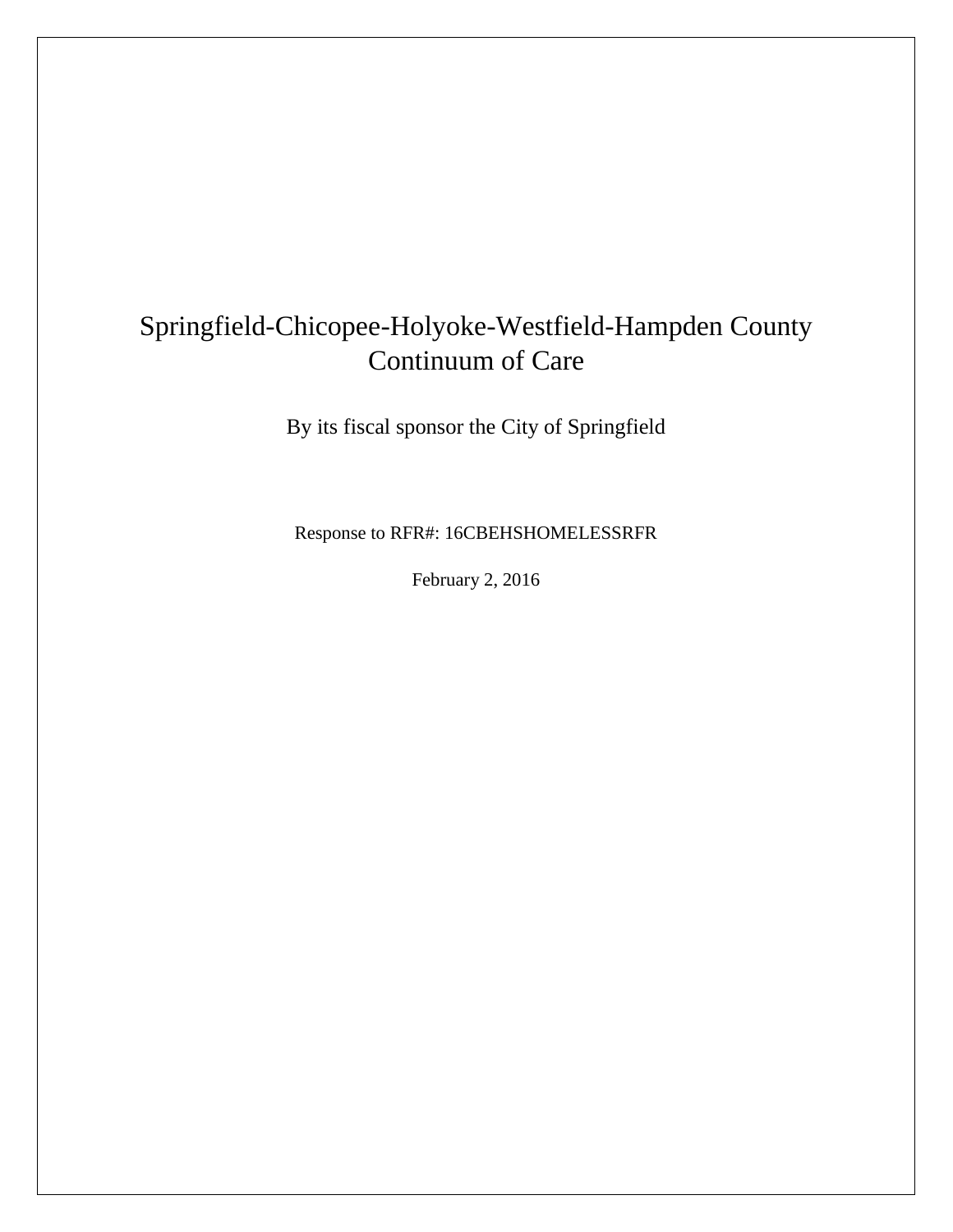# Springfield-Chicopee-Holyoke-Westfield-Hampden County Continuum of Care

By its fiscal sponsor the City of Springfield

Response to RFR#: 16CBEHSHOMELESSRFR

February 2, 2016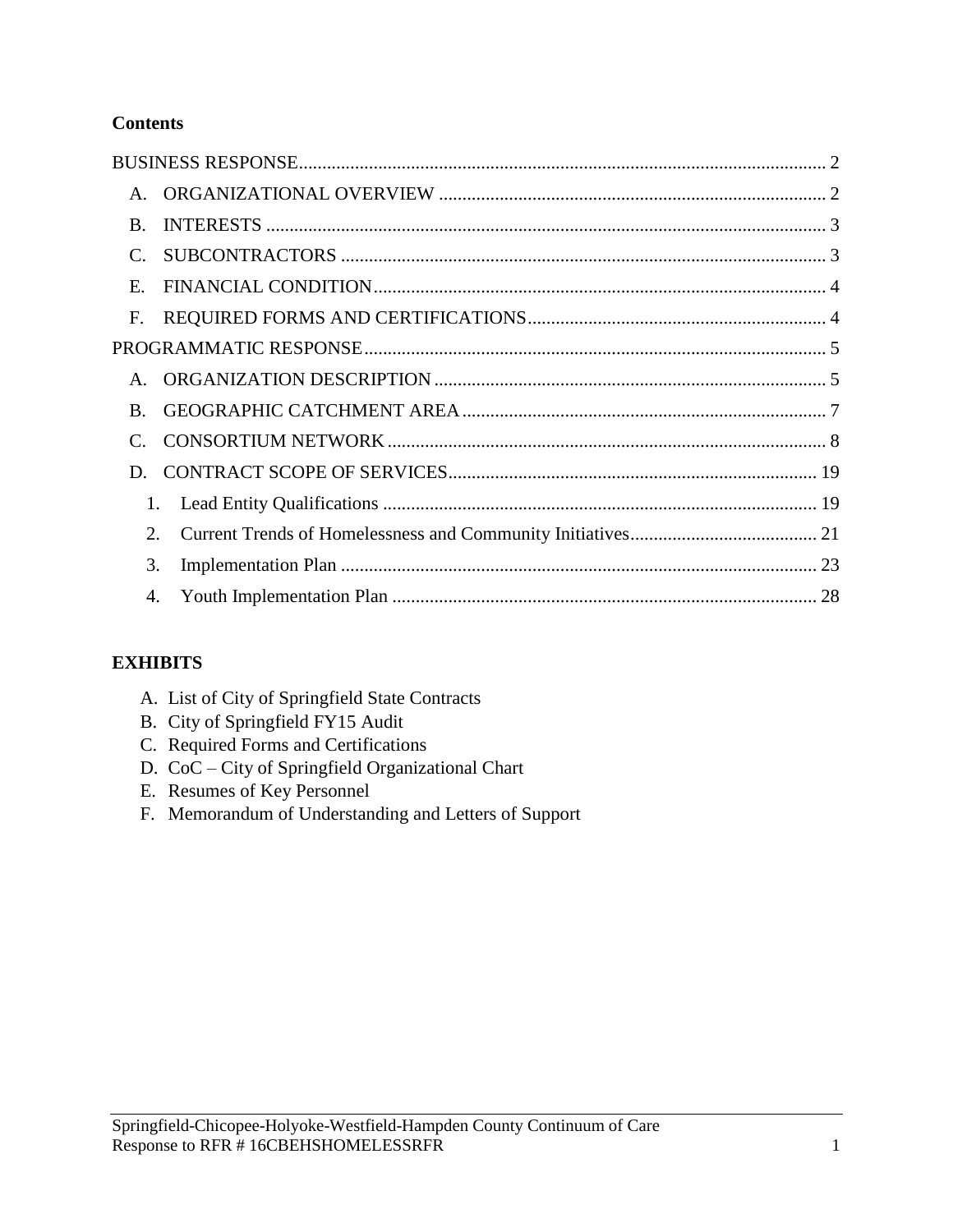# **Contents**

| 1. |  |
|----|--|
| 2. |  |
| 3. |  |
| 4. |  |
|    |  |

# **EXHIBITS**

- A. List of City of Springfield State Contracts
- B. City of Springfield FY15 Audit
- C. Required Forms and Certifications
- D. CoC City of Springfield Organizational Chart
- E. Resumes of Key Personnel
- F. Memorandum of Understanding and Letters of Support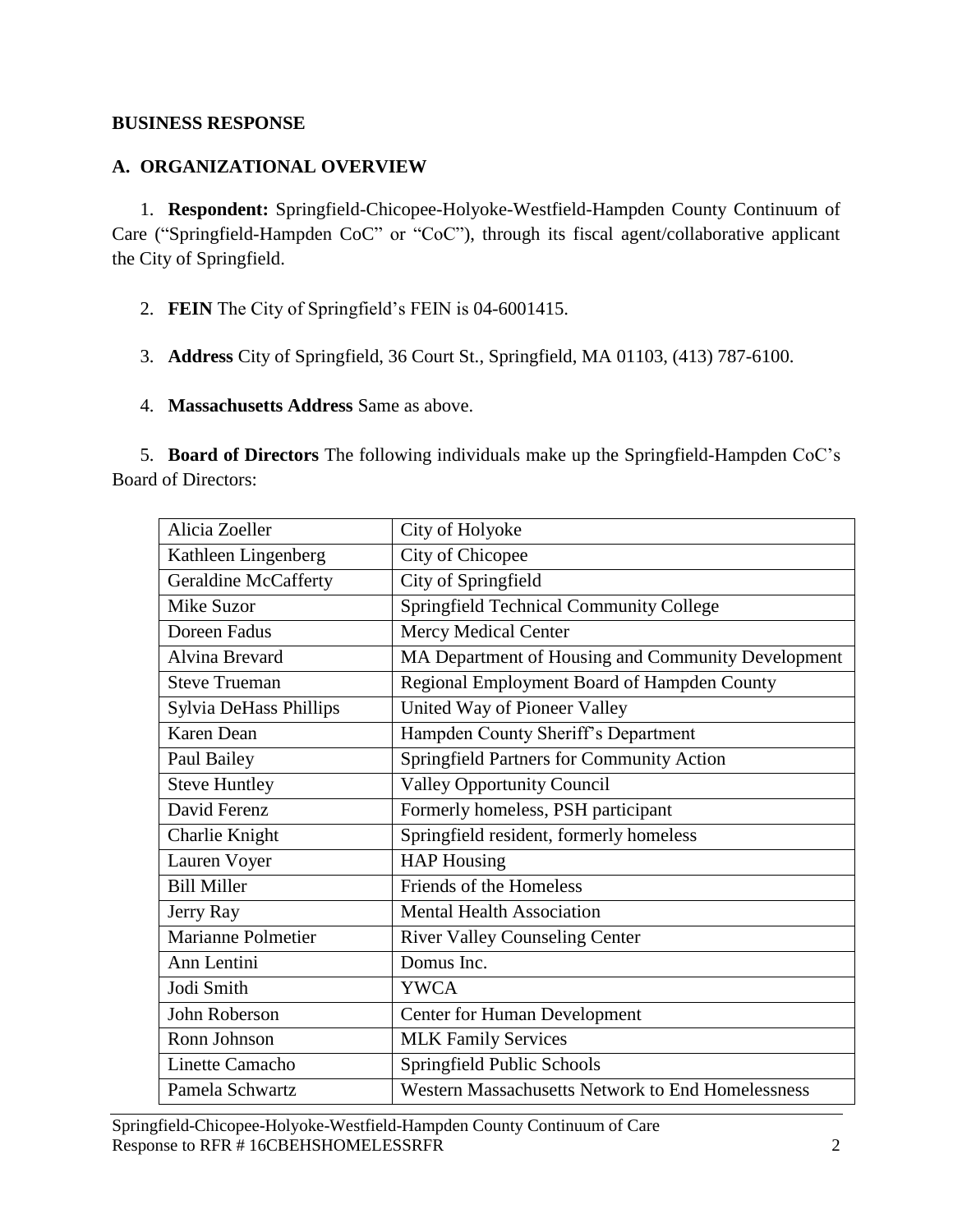### <span id="page-2-0"></span>**BUSINESS RESPONSE**

# <span id="page-2-1"></span>**A. ORGANIZATIONAL OVERVIEW**

1. **Respondent:** Springfield-Chicopee-Holyoke-Westfield-Hampden County Continuum of Care ("Springfield-Hampden CoC" or "CoC"), through its fiscal agent/collaborative applicant the City of Springfield.

- 2. **FEIN** The City of Springfield's FEIN is 04-6001415.
- 3. **Address** City of Springfield, 36 Court St., Springfield, MA 01103, (413) 787-6100.
- 4. **Massachusetts Address** Same as above.

5. **Board of Directors** The following individuals make up the Springfield-Hampden CoC's Board of Directors:

| Alicia Zoeller                | City of Holyoke                                    |
|-------------------------------|----------------------------------------------------|
| Kathleen Lingenberg           | City of Chicopee                                   |
| <b>Geraldine McCafferty</b>   | City of Springfield                                |
| Mike Suzor                    | <b>Springfield Technical Community College</b>     |
| Doreen Fadus                  | <b>Mercy Medical Center</b>                        |
| <b>Alvina Brevard</b>         | MA Department of Housing and Community Development |
| <b>Steve Trueman</b>          | Regional Employment Board of Hampden County        |
| <b>Sylvia DeHass Phillips</b> | United Way of Pioneer Valley                       |
| Karen Dean                    | Hampden County Sheriff's Department                |
| Paul Bailey                   | Springfield Partners for Community Action          |
| <b>Steve Huntley</b>          | <b>Valley Opportunity Council</b>                  |
| David Ferenz                  | Formerly homeless, PSH participant                 |
| Charlie Knight                | Springfield resident, formerly homeless            |
| Lauren Voyer                  | <b>HAP Housing</b>                                 |
| <b>Bill Miller</b>            | Friends of the Homeless                            |
| Jerry Ray                     | <b>Mental Health Association</b>                   |
| Marianne Polmetier            | <b>River Valley Counseling Center</b>              |
| Ann Lentini                   | Domus Inc.                                         |
| Jodi Smith                    | <b>YWCA</b>                                        |
| John Roberson                 | <b>Center for Human Development</b>                |
| Ronn Johnson                  | <b>MLK Family Services</b>                         |
| Linette Camacho               | Springfield Public Schools                         |
| Pamela Schwartz               | Western Massachusetts Network to End Homelessness  |

Springfield-Chicopee-Holyoke-Westfield-Hampden County Continuum of Care Response to RFR # 16CBEHSHOMELESSRFR 2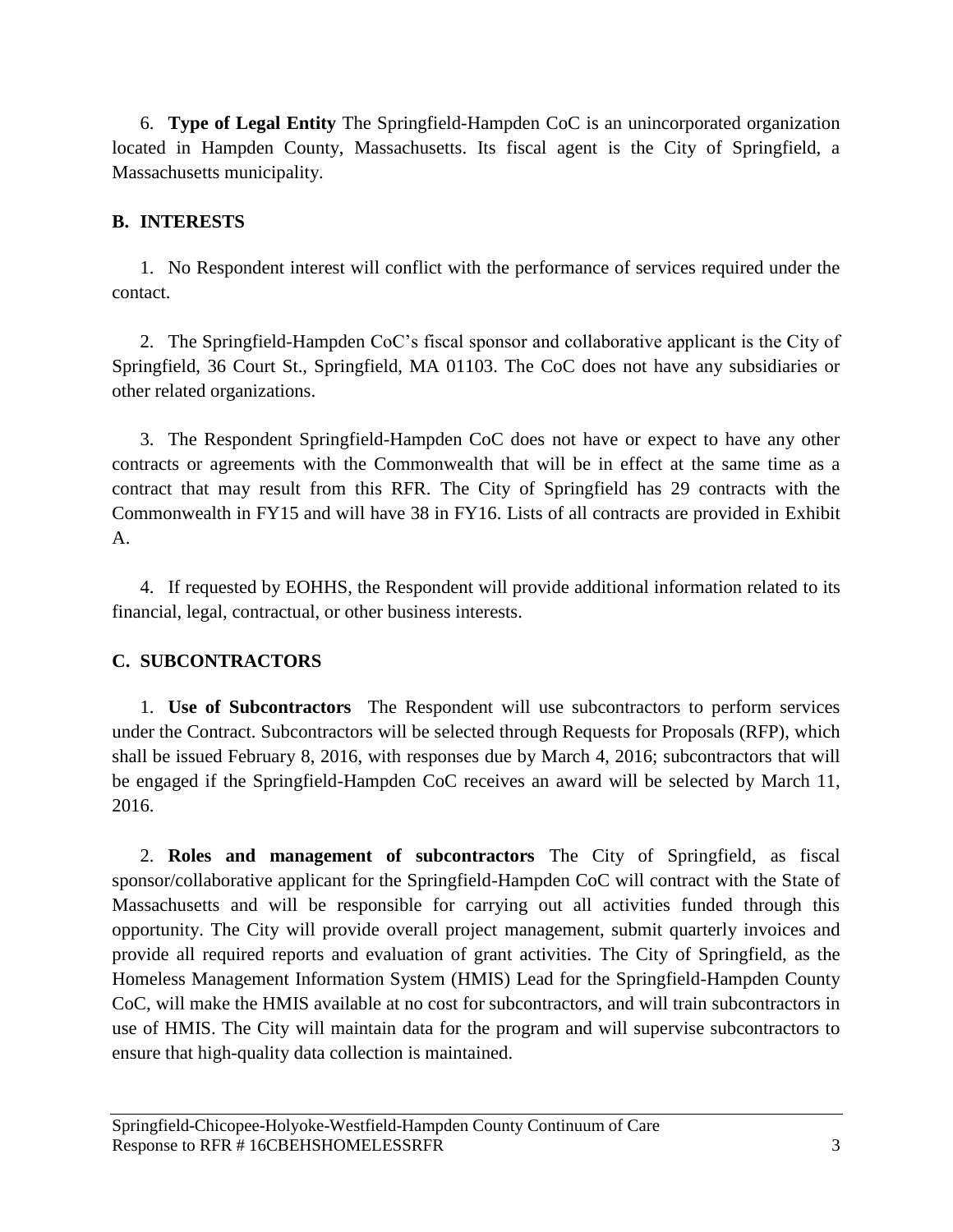6. **Type of Legal Entity** The Springfield-Hampden CoC is an unincorporated organization located in Hampden County, Massachusetts. Its fiscal agent is the City of Springfield, a Massachusetts municipality.

# <span id="page-3-0"></span>**B. INTERESTS**

1. No Respondent interest will conflict with the performance of services required under the contact.

2. The Springfield-Hampden CoC's fiscal sponsor and collaborative applicant is the City of Springfield, 36 Court St., Springfield, MA 01103. The CoC does not have any subsidiaries or other related organizations.

3. The Respondent Springfield-Hampden CoC does not have or expect to have any other contracts or agreements with the Commonwealth that will be in effect at the same time as a contract that may result from this RFR. The City of Springfield has 29 contracts with the Commonwealth in FY15 and will have 38 in FY16. Lists of all contracts are provided in Exhibit A.

4. If requested by EOHHS, the Respondent will provide additional information related to its financial, legal, contractual, or other business interests.

# <span id="page-3-1"></span>**C. SUBCONTRACTORS**

1. **Use of Subcontractors** The Respondent will use subcontractors to perform services under the Contract. Subcontractors will be selected through Requests for Proposals (RFP), which shall be issued February 8, 2016, with responses due by March 4, 2016; subcontractors that will be engaged if the Springfield-Hampden CoC receives an award will be selected by March 11, 2016.

2. **Roles and management of subcontractors** The City of Springfield, as fiscal sponsor/collaborative applicant for the Springfield-Hampden CoC will contract with the State of Massachusetts and will be responsible for carrying out all activities funded through this opportunity. The City will provide overall project management, submit quarterly invoices and provide all required reports and evaluation of grant activities. The City of Springfield, as the Homeless Management Information System (HMIS) Lead for the Springfield-Hampden County CoC, will make the HMIS available at no cost for subcontractors, and will train subcontractors in use of HMIS. The City will maintain data for the program and will supervise subcontractors to ensure that high-quality data collection is maintained.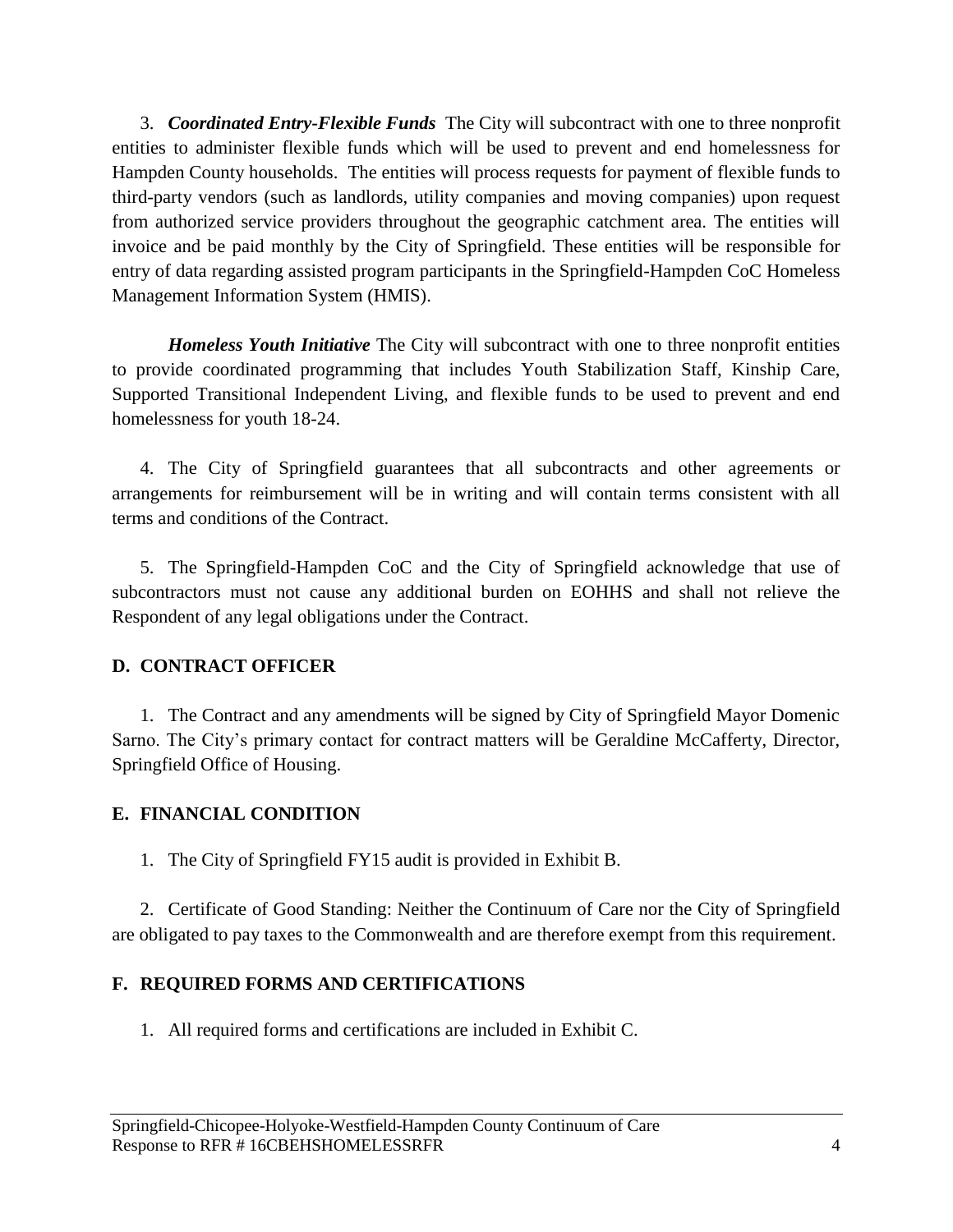3. *Coordinated Entry-Flexible Funds* The City will subcontract with one to three nonprofit entities to administer flexible funds which will be used to prevent and end homelessness for Hampden County households. The entities will process requests for payment of flexible funds to third-party vendors (such as landlords, utility companies and moving companies) upon request from authorized service providers throughout the geographic catchment area. The entities will invoice and be paid monthly by the City of Springfield. These entities will be responsible for entry of data regarding assisted program participants in the Springfield-Hampden CoC Homeless Management Information System (HMIS).

*Homeless Youth Initiative* The City will subcontract with one to three nonprofit entities to provide coordinated programming that includes Youth Stabilization Staff, Kinship Care, Supported Transitional Independent Living, and flexible funds to be used to prevent and end homelessness for youth 18-24.

4. The City of Springfield guarantees that all subcontracts and other agreements or arrangements for reimbursement will be in writing and will contain terms consistent with all terms and conditions of the Contract.

5. The Springfield-Hampden CoC and the City of Springfield acknowledge that use of subcontractors must not cause any additional burden on EOHHS and shall not relieve the Respondent of any legal obligations under the Contract.

# **D. CONTRACT OFFICER**

1. The Contract and any amendments will be signed by City of Springfield Mayor Domenic Sarno. The City's primary contact for contract matters will be Geraldine McCafferty, Director, Springfield Office of Housing.

# <span id="page-4-0"></span>**E. FINANCIAL CONDITION**

1. The City of Springfield FY15 audit is provided in Exhibit B.

2. Certificate of Good Standing: Neither the Continuum of Care nor the City of Springfield are obligated to pay taxes to the Commonwealth and are therefore exempt from this requirement.

# <span id="page-4-1"></span>**F. REQUIRED FORMS AND CERTIFICATIONS**

1. All required forms and certifications are included in Exhibit C.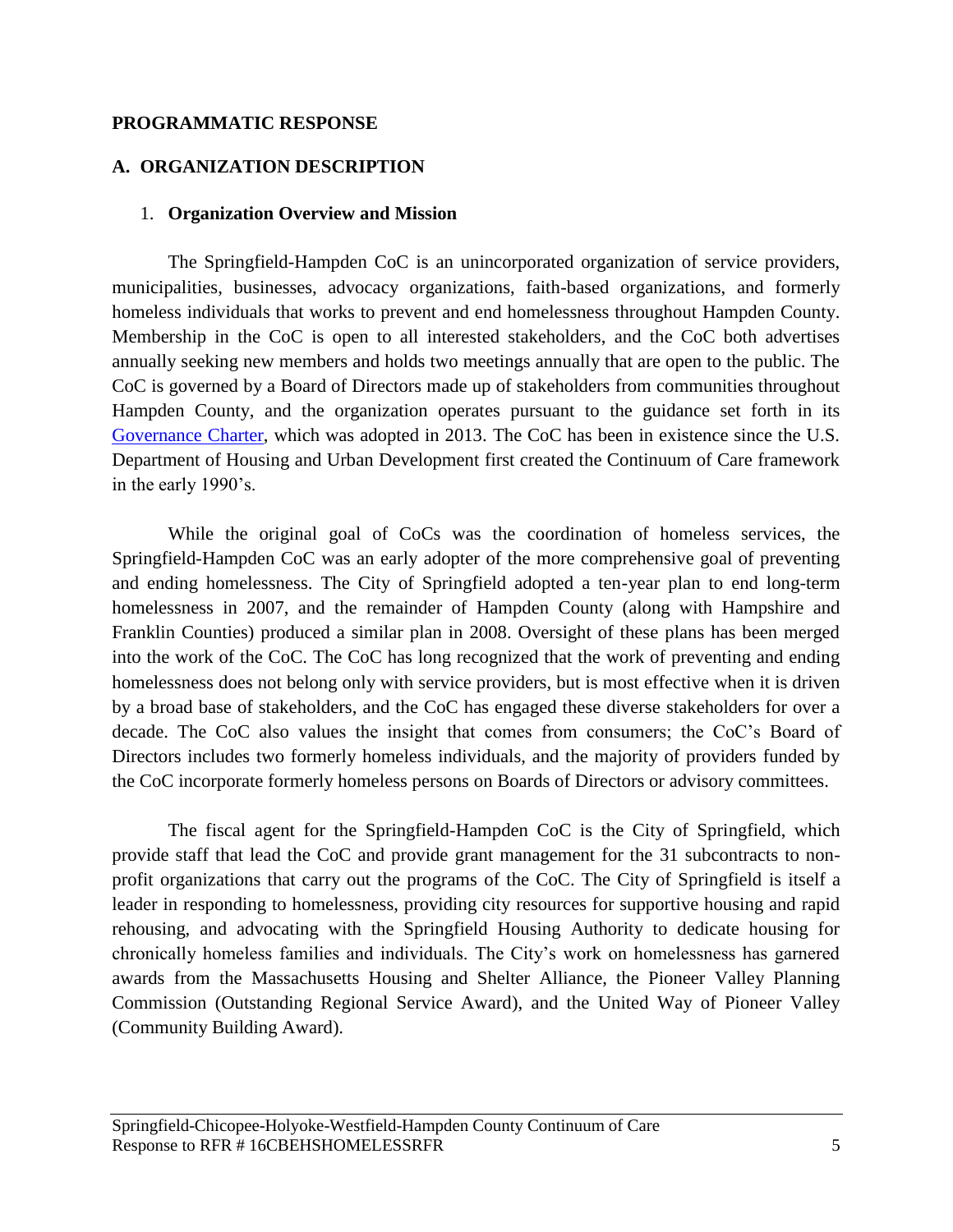#### <span id="page-5-0"></span>**PROGRAMMATIC RESPONSE**

### <span id="page-5-1"></span>**A. ORGANIZATION DESCRIPTION**

#### 1. **Organization Overview and Mission**

The Springfield-Hampden CoC is an unincorporated organization of service providers, municipalities, businesses, advocacy organizations, faith-based organizations, and formerly homeless individuals that works to prevent and end homelessness throughout Hampden County. Membership in the CoC is open to all interested stakeholders, and the CoC both advertises annually seeking new members and holds two meetings annually that are open to the public. The CoC is governed by a Board of Directors made up of stakeholders from communities throughout Hampden County, and the organization operates pursuant to the guidance set forth in its [Governance Charter,](http://westernmasshousingfirst.org/wp-content/uploads/2013/02/CoC-Governance-Charter-FINAL-9-13-2013.pdf) which was adopted in 2013. The CoC has been in existence since the U.S. Department of Housing and Urban Development first created the Continuum of Care framework in the early 1990's.

While the original goal of CoCs was the coordination of homeless services, the Springfield-Hampden CoC was an early adopter of the more comprehensive goal of preventing and ending homelessness. The City of Springfield adopted a ten-year plan to end long-term homelessness in 2007, and the remainder of Hampden County (along with Hampshire and Franklin Counties) produced a similar plan in 2008. Oversight of these plans has been merged into the work of the CoC. The CoC has long recognized that the work of preventing and ending homelessness does not belong only with service providers, but is most effective when it is driven by a broad base of stakeholders, and the CoC has engaged these diverse stakeholders for over a decade. The CoC also values the insight that comes from consumers; the CoC's Board of Directors includes two formerly homeless individuals, and the majority of providers funded by the CoC incorporate formerly homeless persons on Boards of Directors or advisory committees.

The fiscal agent for the Springfield-Hampden CoC is the City of Springfield, which provide staff that lead the CoC and provide grant management for the 31 subcontracts to nonprofit organizations that carry out the programs of the CoC. The City of Springfield is itself a leader in responding to homelessness, providing city resources for supportive housing and rapid rehousing, and advocating with the Springfield Housing Authority to dedicate housing for chronically homeless families and individuals. The City's work on homelessness has garnered awards from the Massachusetts Housing and Shelter Alliance, the Pioneer Valley Planning Commission (Outstanding Regional Service Award), and the United Way of Pioneer Valley (Community Building Award).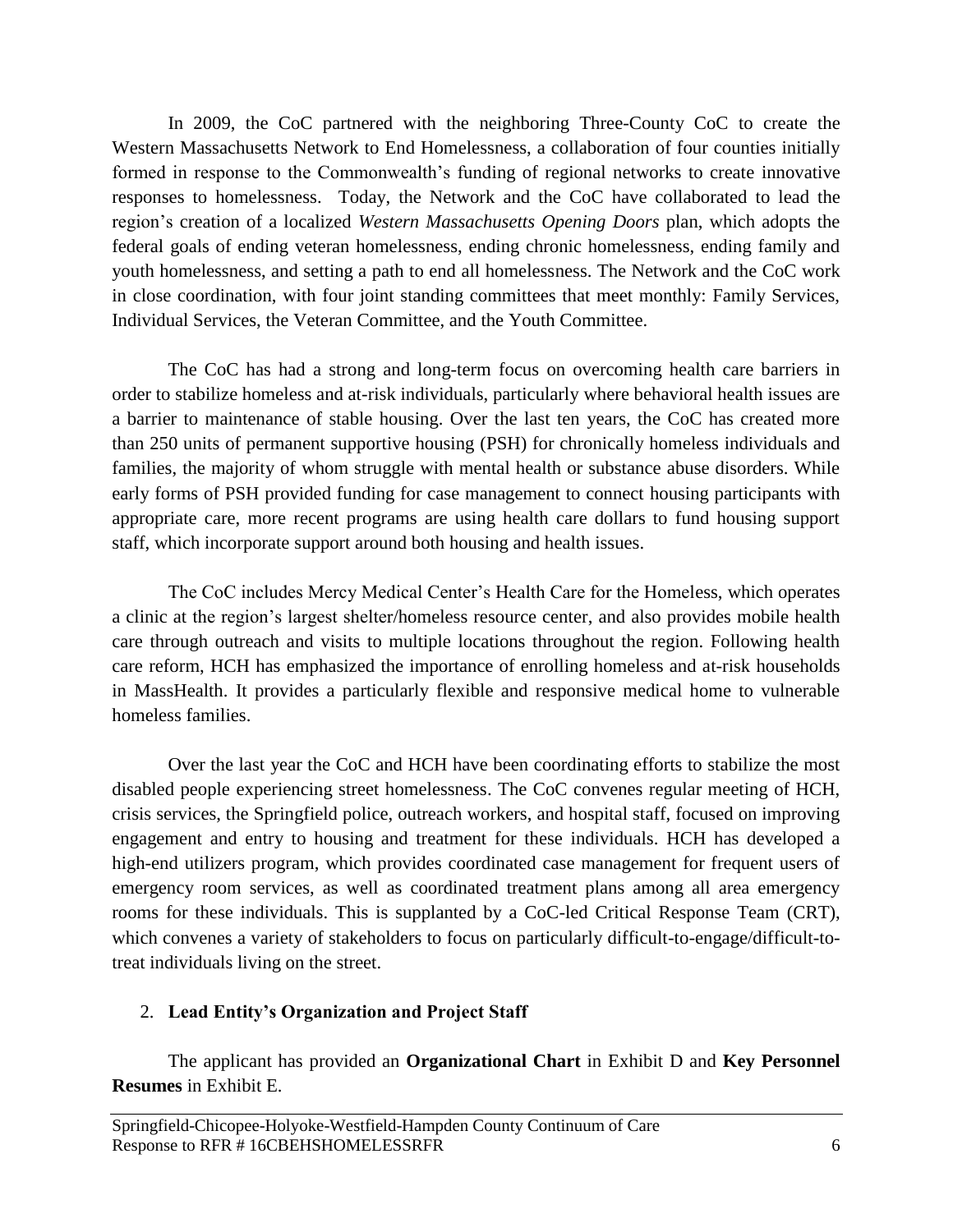In 2009, the CoC partnered with the neighboring Three-County CoC to create the Western Massachusetts Network to End Homelessness, a collaboration of four counties initially formed in response to the Commonwealth's funding of regional networks to create innovative responses to homelessness. Today, the Network and the CoC have collaborated to lead the region's creation of a localized *Western Massachusetts Opening Doors* plan, which adopts the federal goals of ending veteran homelessness, ending chronic homelessness, ending family and youth homelessness, and setting a path to end all homelessness. The Network and the CoC work in close coordination, with four joint standing committees that meet monthly: Family Services, Individual Services, the Veteran Committee, and the Youth Committee.

The CoC has had a strong and long-term focus on overcoming health care barriers in order to stabilize homeless and at-risk individuals, particularly where behavioral health issues are a barrier to maintenance of stable housing. Over the last ten years, the CoC has created more than 250 units of permanent supportive housing (PSH) for chronically homeless individuals and families, the majority of whom struggle with mental health or substance abuse disorders. While early forms of PSH provided funding for case management to connect housing participants with appropriate care, more recent programs are using health care dollars to fund housing support staff, which incorporate support around both housing and health issues.

The CoC includes Mercy Medical Center's Health Care for the Homeless, which operates a clinic at the region's largest shelter/homeless resource center, and also provides mobile health care through outreach and visits to multiple locations throughout the region. Following health care reform, HCH has emphasized the importance of enrolling homeless and at-risk households in MassHealth. It provides a particularly flexible and responsive medical home to vulnerable homeless families.

Over the last year the CoC and HCH have been coordinating efforts to stabilize the most disabled people experiencing street homelessness. The CoC convenes regular meeting of HCH, crisis services, the Springfield police, outreach workers, and hospital staff, focused on improving engagement and entry to housing and treatment for these individuals. HCH has developed a high-end utilizers program, which provides coordinated case management for frequent users of emergency room services, as well as coordinated treatment plans among all area emergency rooms for these individuals. This is supplanted by a CoC-led Critical Response Team (CRT), which convenes a variety of stakeholders to focus on particularly difficult-to-engage/difficult-totreat individuals living on the street.

# 2. **Lead Entity's Organization and Project Staff**

The applicant has provided an **Organizational Chart** in Exhibit D and **Key Personnel Resumes** in Exhibit E.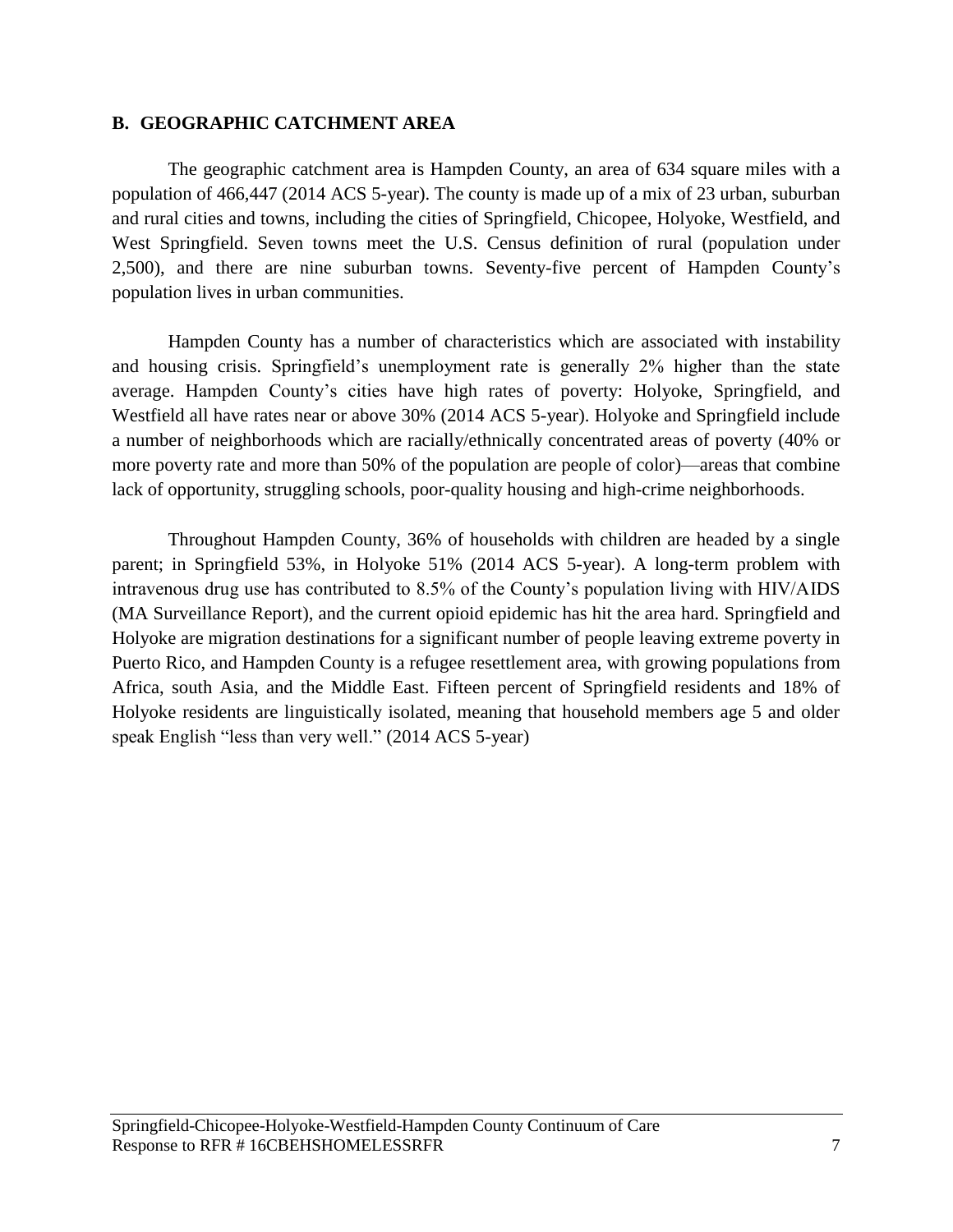#### <span id="page-7-0"></span>**B. GEOGRAPHIC CATCHMENT AREA**

The geographic catchment area is Hampden County, an area of 634 square miles with a population of 466,447 (2014 ACS 5-year). The county is made up of a mix of 23 urban, suburban and rural cities and towns, including the cities of Springfield, Chicopee, Holyoke, Westfield, and West Springfield. Seven towns meet the U.S. Census definition of rural (population under 2,500), and there are nine suburban towns. Seventy-five percent of Hampden County's population lives in urban communities.

Hampden County has a number of characteristics which are associated with instability and housing crisis. Springfield's unemployment rate is generally 2% higher than the state average. Hampden County's cities have high rates of poverty: Holyoke, Springfield, and Westfield all have rates near or above 30% (2014 ACS 5-year). Holyoke and Springfield include a number of neighborhoods which are racially/ethnically concentrated areas of poverty (40% or more poverty rate and more than 50% of the population are people of color)—areas that combine lack of opportunity, struggling schools, poor-quality housing and high-crime neighborhoods.

Throughout Hampden County, 36% of households with children are headed by a single parent; in Springfield 53%, in Holyoke 51% (2014 ACS 5-year). A long-term problem with intravenous drug use has contributed to 8.5% of the County's population living with HIV/AIDS (MA Surveillance Report), and the current opioid epidemic has hit the area hard. Springfield and Holyoke are migration destinations for a significant number of people leaving extreme poverty in Puerto Rico, and Hampden County is a refugee resettlement area, with growing populations from Africa, south Asia, and the Middle East. Fifteen percent of Springfield residents and 18% of Holyoke residents are linguistically isolated, meaning that household members age 5 and older speak English "less than very well." (2014 ACS 5-year)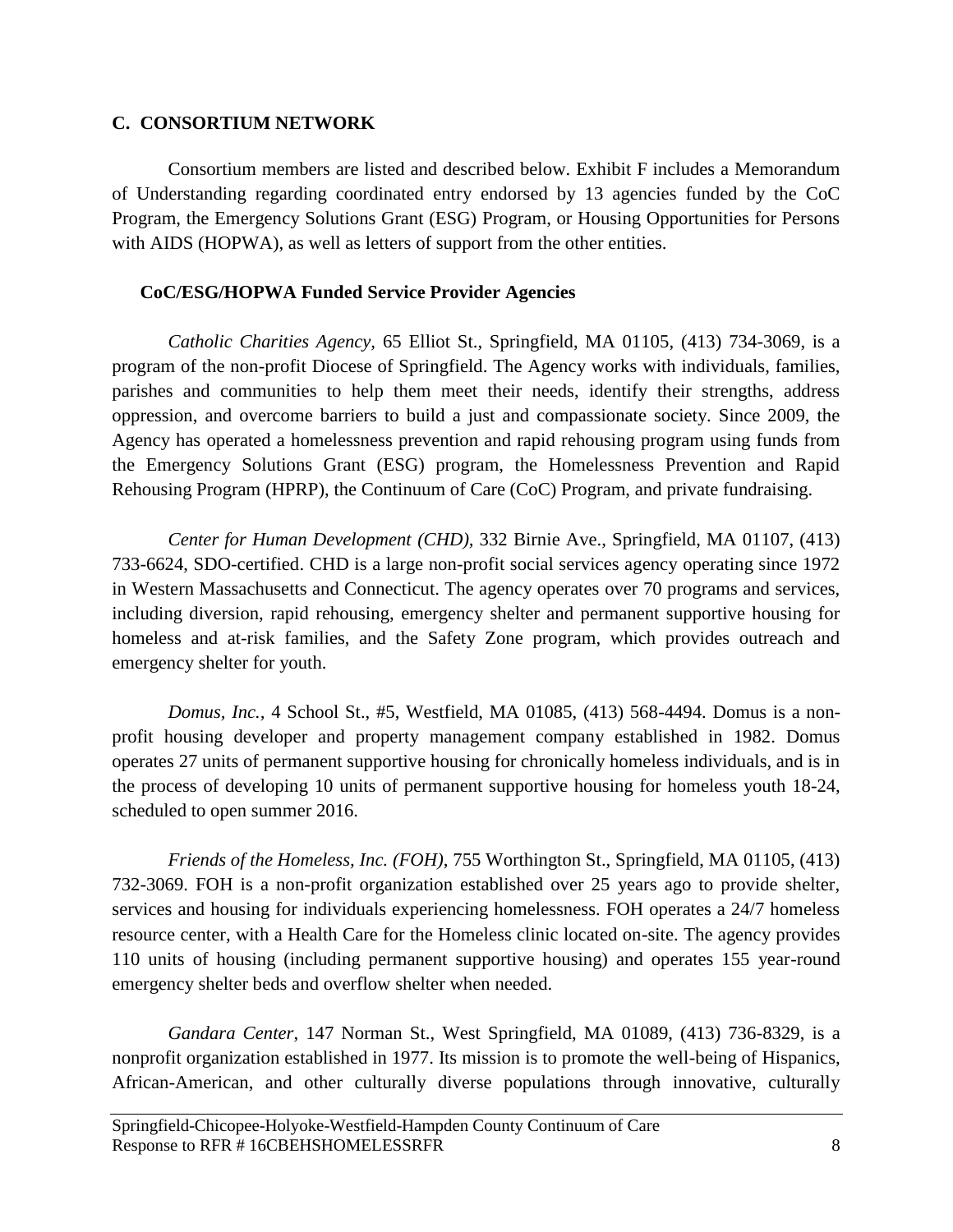### <span id="page-8-0"></span>**C. CONSORTIUM NETWORK**

Consortium members are listed and described below. Exhibit F includes a Memorandum of Understanding regarding coordinated entry endorsed by 13 agencies funded by the CoC Program, the Emergency Solutions Grant (ESG) Program, or Housing Opportunities for Persons with AIDS (HOPWA), as well as letters of support from the other entities.

### **CoC/ESG/HOPWA Funded Service Provider Agencies**

*Catholic Charities Agency,* 65 Elliot St., Springfield, MA 01105, (413) 734-3069, is a program of the non-profit Diocese of Springfield. The Agency works with individuals, families, parishes and communities to help them meet their needs, identify their strengths, address oppression, and overcome barriers to build a just and compassionate society. Since 2009, the Agency has operated a homelessness prevention and rapid rehousing program using funds from the Emergency Solutions Grant (ESG) program, the Homelessness Prevention and Rapid Rehousing Program (HPRP), the Continuum of Care (CoC) Program, and private fundraising.

*Center for Human Development (CHD),* 332 Birnie Ave., Springfield, MA 01107, (413) 733-6624, SDO-certified. CHD is a large non-profit social services agency operating since 1972 in Western Massachusetts and Connecticut. The agency operates over 70 programs and services, including diversion, rapid rehousing, emergency shelter and permanent supportive housing for homeless and at-risk families, and the Safety Zone program, which provides outreach and emergency shelter for youth.

*Domus, Inc.,* 4 School St., #5, Westfield, MA 01085, (413) 568-4494. Domus is a nonprofit housing developer and property management company established in 1982. Domus operates 27 units of permanent supportive housing for chronically homeless individuals, and is in the process of developing 10 units of permanent supportive housing for homeless youth 18-24, scheduled to open summer 2016.

*Friends of the Homeless, Inc. (FOH)*, 755 Worthington St., Springfield, MA 01105, (413) 732-3069. FOH is a non-profit organization established over 25 years ago to provide shelter, services and housing for individuals experiencing homelessness. FOH operates a 24/7 homeless resource center, with a Health Care for the Homeless clinic located on-site. The agency provides 110 units of housing (including permanent supportive housing) and operates 155 year-round emergency shelter beds and overflow shelter when needed.

*Gandara Center*, 147 Norman St., West Springfield, MA 01089, (413) 736-8329, is a nonprofit organization established in 1977. Its mission is to promote the well-being of Hispanics, African-American, and other culturally diverse populations through innovative, culturally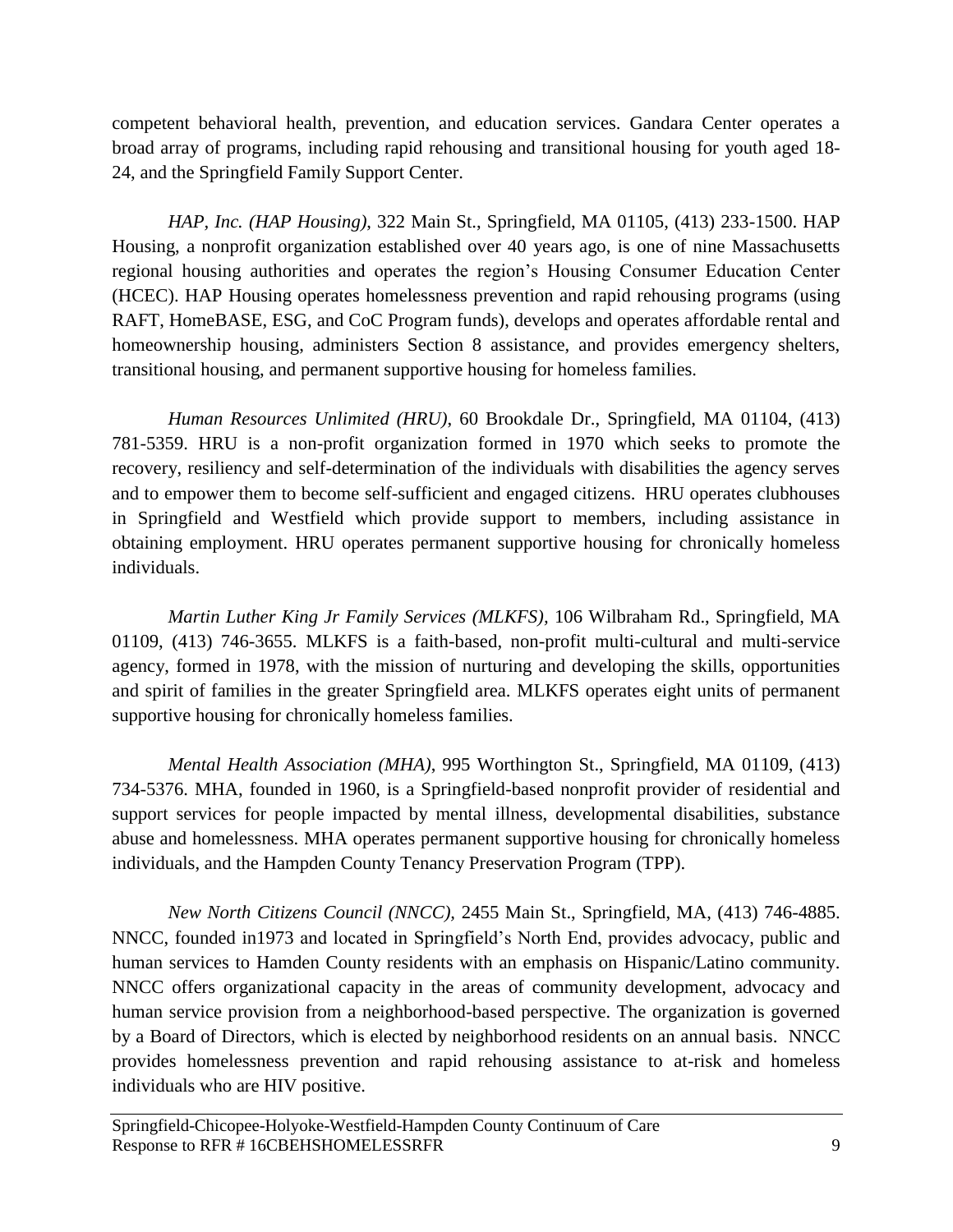competent behavioral health, prevention, and education services. Gandara Center operates a broad array of programs, including rapid rehousing and transitional housing for youth aged 18- 24, and the Springfield Family Support Center.

*HAP, Inc. (HAP Housing)*, 322 Main St., Springfield, MA 01105, (413) 233-1500. HAP Housing, a nonprofit organization established over 40 years ago, is one of nine Massachusetts regional housing authorities and operates the region's Housing Consumer Education Center (HCEC). HAP Housing operates homelessness prevention and rapid rehousing programs (using RAFT, HomeBASE, ESG, and CoC Program funds), develops and operates affordable rental and homeownership housing, administers Section 8 assistance, and provides emergency shelters, transitional housing, and permanent supportive housing for homeless families.

*Human Resources Unlimited (HRU)*, 60 Brookdale Dr., Springfield, MA 01104, (413) 781-5359. HRU is a non-profit organization formed in 1970 which seeks to promote the recovery, resiliency and self-determination of the individuals with disabilities the agency serves and to empower them to become self-sufficient and engaged citizens. HRU operates clubhouses in Springfield and Westfield which provide support to members, including assistance in obtaining employment. HRU operates permanent supportive housing for chronically homeless individuals.

*Martin Luther King Jr Family Services (MLKFS),* 106 Wilbraham Rd., Springfield, MA 01109, (413) 746-3655. MLKFS is a faith-based, non-profit multi-cultural and multi-service agency, formed in 1978, with the mission of nurturing and developing the skills, opportunities and spirit of families in the greater Springfield area. MLKFS operates eight units of permanent supportive housing for chronically homeless families.

*Mental Health Association (MHA)*, 995 Worthington St., Springfield, MA 01109, (413) 734-5376. MHA, founded in 1960, is a Springfield-based nonprofit provider of residential and support services for people impacted by mental illness, developmental disabilities, substance abuse and homelessness. MHA operates permanent supportive housing for chronically homeless individuals, and the Hampden County Tenancy Preservation Program (TPP).

*New North Citizens Council (NNCC),* 2455 Main St., Springfield, MA, (413) 746-4885. NNCC, founded in1973 and located in Springfield's North End, provides advocacy, public and human services to Hamden County residents with an emphasis on Hispanic/Latino community. NNCC offers organizational capacity in the areas of community development, advocacy and human service provision from a neighborhood-based perspective. The organization is governed by a Board of Directors, which is elected by neighborhood residents on an annual basis. NNCC provides homelessness prevention and rapid rehousing assistance to at-risk and homeless individuals who are HIV positive.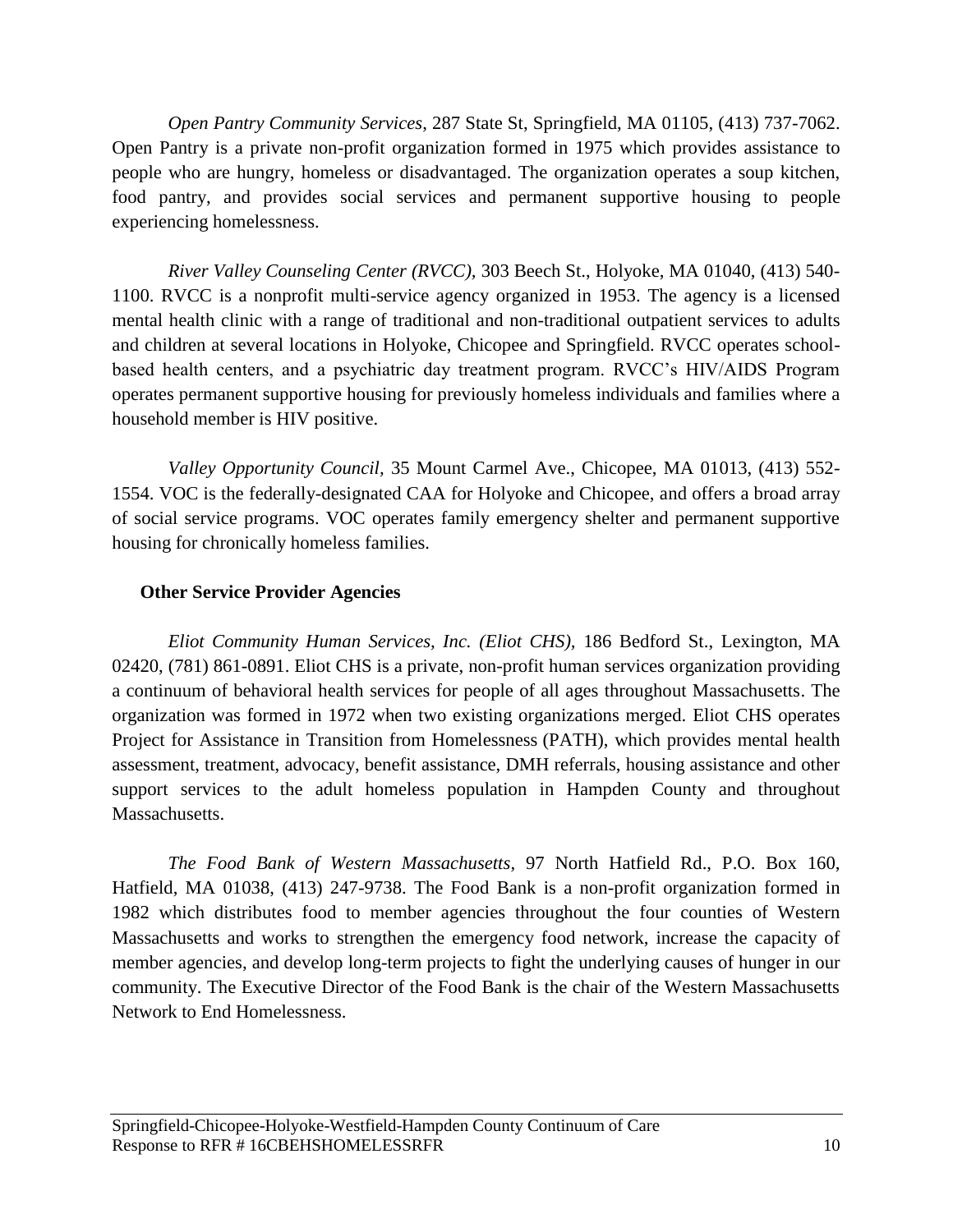*Open Pantry Community Services*, 287 State St, Springfield, MA 01105, (413) 737-7062. Open Pantry is a private non-profit organization formed in 1975 which provides assistance to people who are hungry, homeless or disadvantaged. The organization operates a soup kitchen, food pantry, and provides social services and permanent supportive housing to people experiencing homelessness.

*River Valley Counseling Center (RVCC),* 303 Beech St., Holyoke, MA 01040, (413) 540- 1100. RVCC is a nonprofit multi-service agency organized in 1953. The agency is a licensed mental health clinic with a range of traditional and non-traditional outpatient services to adults and children at several locations in Holyoke, Chicopee and Springfield. RVCC operates schoolbased health centers, and a psychiatric day treatment program. RVCC's HIV/AIDS Program operates permanent supportive housing for previously homeless individuals and families where a household member is HIV positive.

*Valley Opportunity Council,* 35 Mount Carmel Ave., Chicopee, MA 01013, (413) 552- 1554. VOC is the federally-designated CAA for Holyoke and Chicopee, and offers a broad array of social service programs. VOC operates family emergency shelter and permanent supportive housing for chronically homeless families.

### **Other Service Provider Agencies**

*Eliot Community Human Services, Inc. (Eliot CHS),* 186 Bedford St., Lexington, MA 02420, (781) 861-0891. Eliot CHS is a private, non-profit human services organization providing a continuum of behavioral health services for people of all ages throughout Massachusetts. The organization was formed in 1972 when two existing organizations merged. Eliot CHS operates Project for Assistance in Transition from Homelessness (PATH), which provides mental health assessment, treatment, advocacy, benefit assistance, DMH referrals, housing assistance and other support services to the adult homeless population in Hampden County and throughout Massachusetts.

*The Food Bank of Western Massachusetts,* 97 North Hatfield Rd., P.O. Box 160, Hatfield, MA 01038, (413) 247-9738. The Food Bank is a non-profit organization formed in 1982 which distributes food to member agencies throughout the four counties of Western Massachusetts and works to strengthen the emergency food network, increase the capacity of member agencies, and develop long-term projects to fight the underlying causes of hunger in our community. The Executive Director of the Food Bank is the chair of the Western Massachusetts Network to End Homelessness.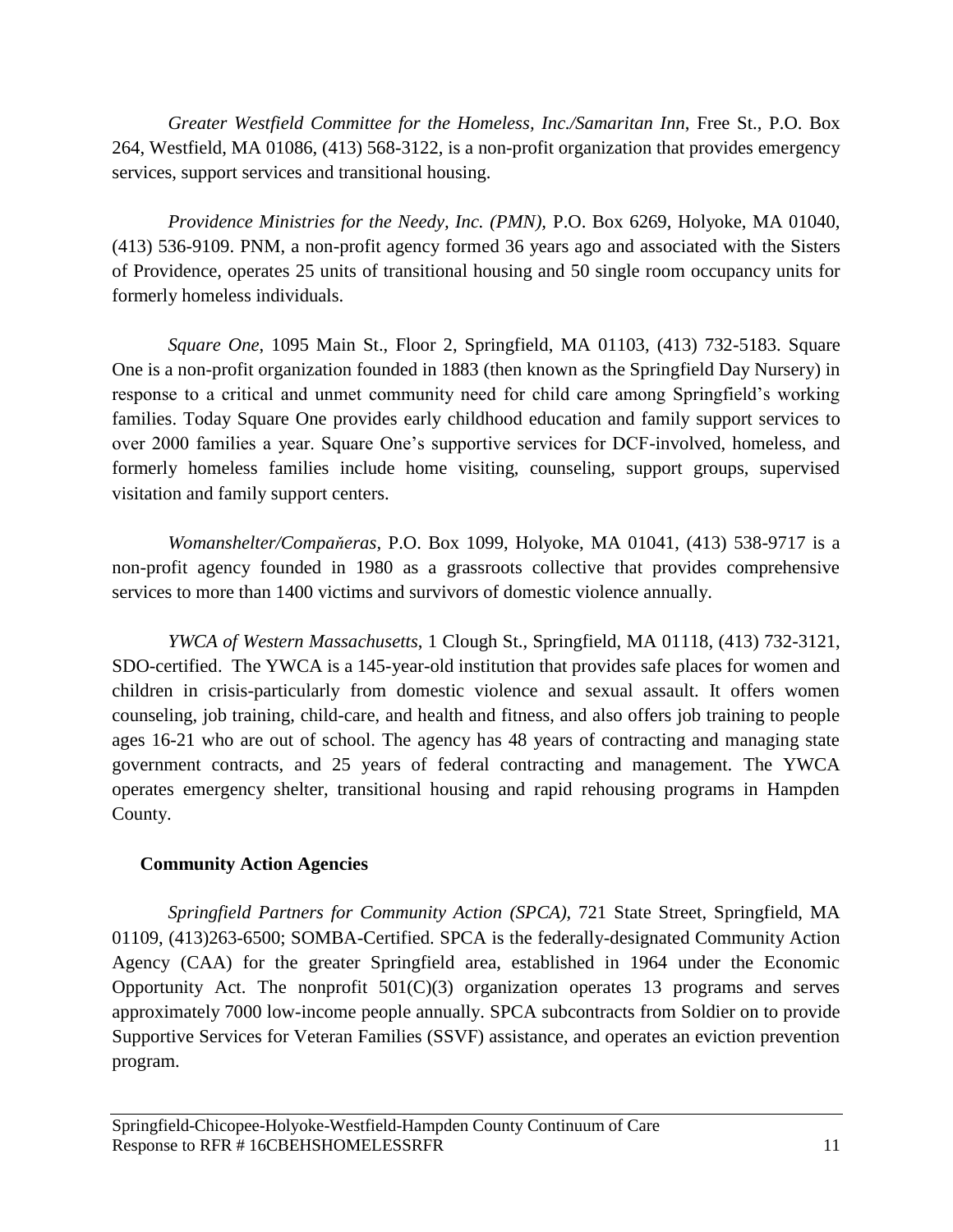*Greater Westfield Committee for the Homeless, Inc./Samaritan Inn*, Free St., P.O. Box 264, Westfield, MA 01086, (413) 568-3122, is a non-profit organization that provides emergency services, support services and transitional housing.

*Providence Ministries for the Needy, Inc. (PMN),* P.O. Box 6269, Holyoke, MA 01040, (413) 536-9109. PNM, a non-profit agency formed 36 years ago and associated with the Sisters of Providence, operates 25 units of transitional housing and 50 single room occupancy units for formerly homeless individuals.

*Square One*, 1095 Main St., Floor 2, Springfield, MA 01103, (413) 732-5183. Square One is a non-profit organization founded in 1883 (then known as the Springfield Day Nursery) in response to a critical and unmet community need for child care among Springfield's working families. Today Square One provides early childhood education and family support services to over 2000 families a year. Square One's supportive services for DCF-involved, homeless, and formerly homeless families include home visiting, counseling, support groups, supervised visitation and family support centers.

*Womanshelter/Compaňeras,* P.O. Box 1099, Holyoke, MA 01041, (413) 538-9717 is a non-profit agency founded in 1980 as a grassroots collective that provides comprehensive services to more than 1400 victims and survivors of domestic violence annually.

*YWCA of Western Massachusetts*, 1 Clough St., Springfield, MA 01118, (413) 732-3121, SDO-certified. The YWCA is a 145-year-old institution that provides safe places for women and children in crisis-particularly from domestic violence and sexual assault. It offers women counseling, job training, child-care, and health and fitness, and also offers job training to people ages 16-21 who are out of school. The agency has 48 years of contracting and managing state government contracts, and 25 years of federal contracting and management. The YWCA operates emergency shelter, transitional housing and rapid rehousing programs in Hampden County.

# **Community Action Agencies**

*Springfield Partners for Community Action (SPCA)*, 721 State Street, Springfield, MA 01109, (413)263-6500; SOMBA-Certified. SPCA is the federally-designated Community Action Agency (CAA) for the greater Springfield area, established in 1964 under the Economic Opportunity Act. The nonprofit  $501(C)(3)$  organization operates 13 programs and serves approximately 7000 low-income people annually. SPCA subcontracts from Soldier on to provide Supportive Services for Veteran Families (SSVF) assistance, and operates an eviction prevention program.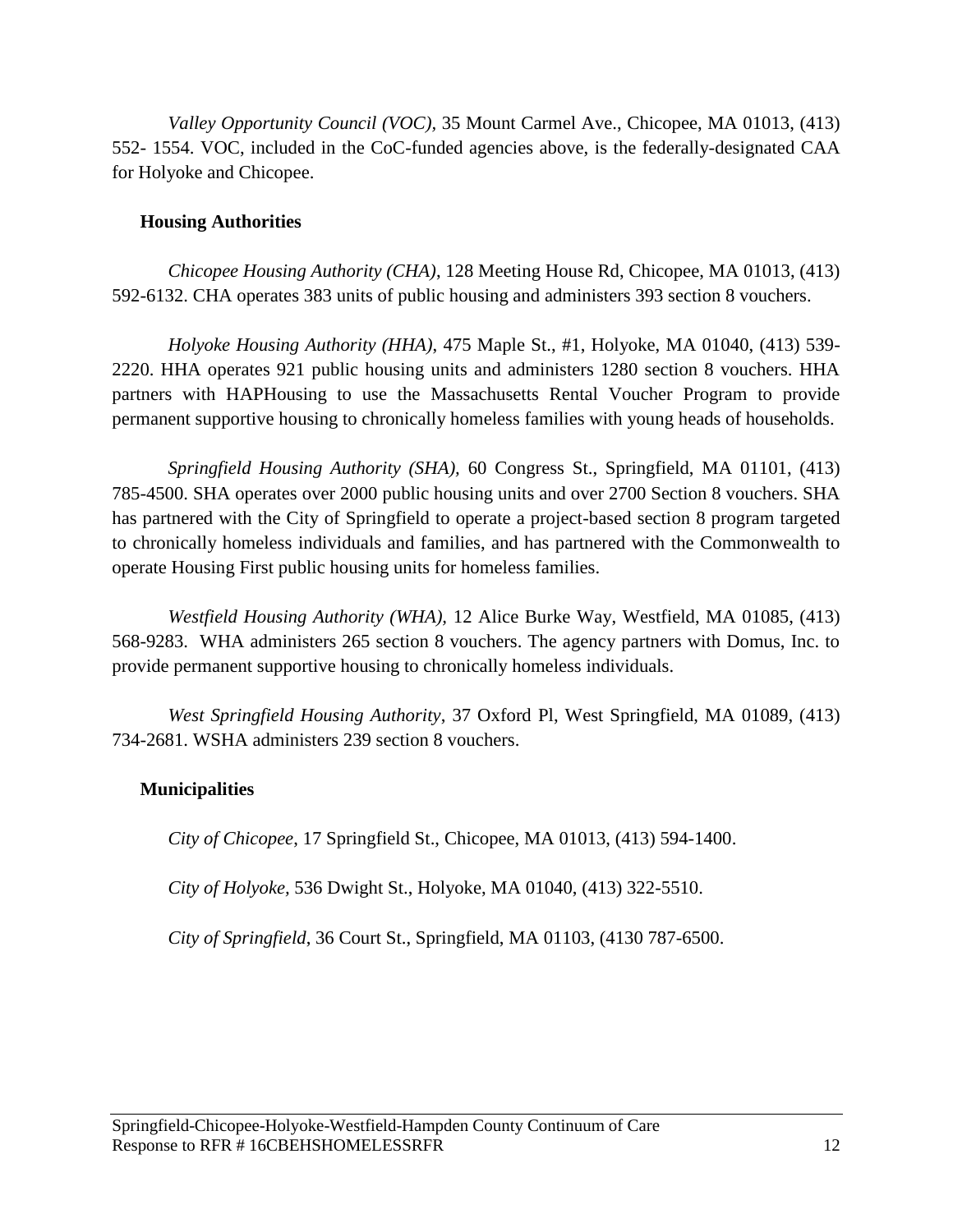*Valley Opportunity Council (VOC),* 35 Mount Carmel Ave., Chicopee, MA 01013, (413) 552- 1554. VOC, included in the CoC-funded agencies above, is the federally-designated CAA for Holyoke and Chicopee.

### **Housing Authorities**

*Chicopee Housing Authority (CHA)*, 128 Meeting House Rd, Chicopee, MA 01013, (413) 592-6132. CHA operates 383 units of public housing and administers 393 section 8 vouchers.

*Holyoke Housing Authority (HHA)*, 475 Maple St., #1, Holyoke, MA 01040, (413) 539- 2220. HHA operates 921 public housing units and administers 1280 section 8 vouchers. HHA partners with HAPHousing to use the Massachusetts Rental Voucher Program to provide permanent supportive housing to chronically homeless families with young heads of households.

*Springfield Housing Authority (SHA),* 60 Congress St., Springfield, MA 01101, (413) 785-4500. SHA operates over 2000 public housing units and over 2700 Section 8 vouchers. SHA has partnered with the City of Springfield to operate a project-based section 8 program targeted to chronically homeless individuals and families, and has partnered with the Commonwealth to operate Housing First public housing units for homeless families.

*Westfield Housing Authority (WHA),* 12 Alice Burke Way, Westfield, MA 01085, (413) 568-9283. WHA administers 265 section 8 vouchers. The agency partners with Domus, Inc. to provide permanent supportive housing to chronically homeless individuals.

*West Springfield Housing Authority*, 37 Oxford Pl, West Springfield, MA 01089, (413) 734-2681. WSHA administers 239 section 8 vouchers.

# **Municipalities**

*City of Chicopee*, 17 Springfield St., Chicopee, MA 01013, (413) 594-1400.

*City of Holyoke,* 536 Dwight St., Holyoke, MA 01040, (413) 322-5510.

*City of Springfield*, 36 Court St., Springfield, MA 01103, (4130 787-6500.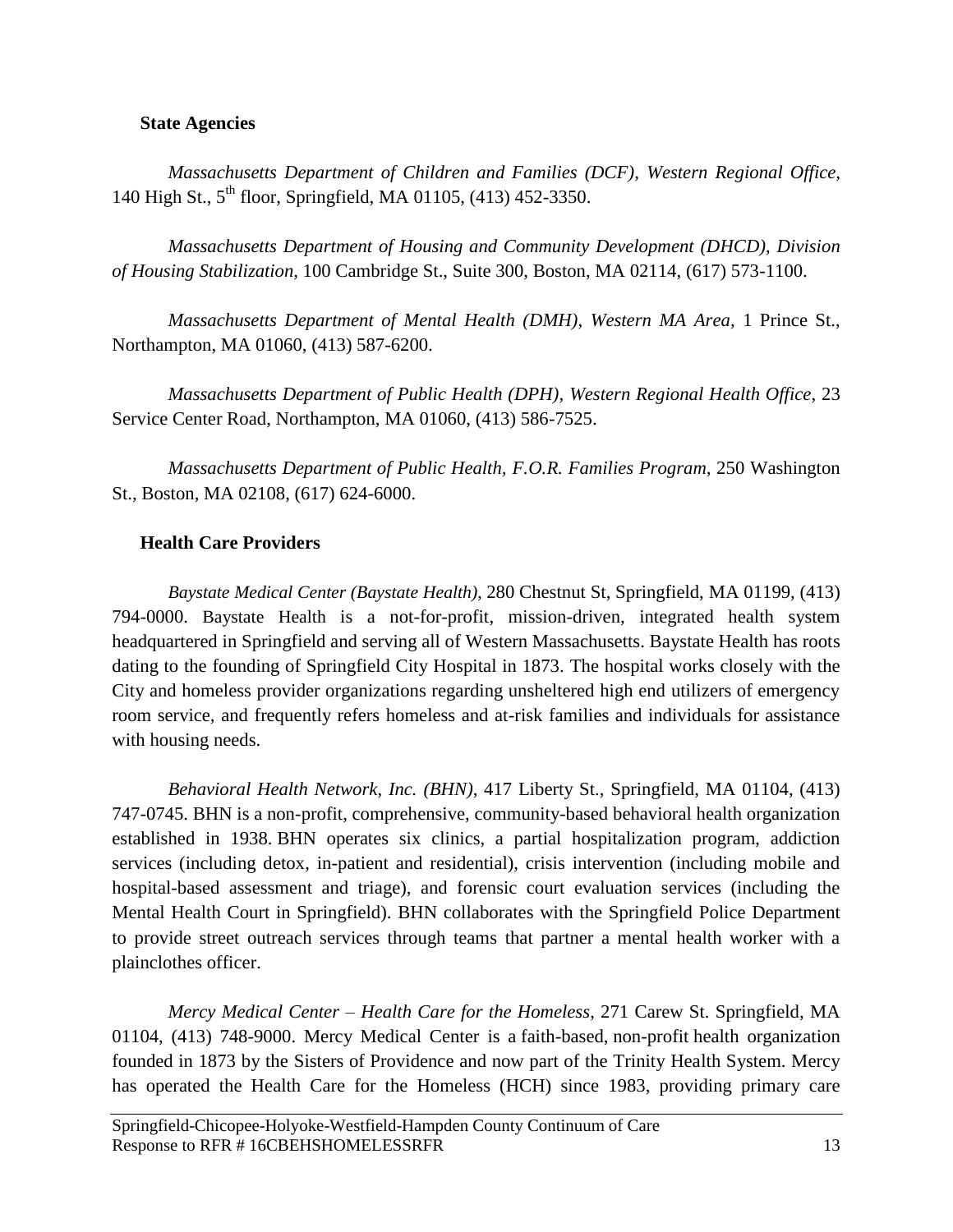### **State Agencies**

*Massachusetts Department of Children and Families (DCF), Western Regional Office,*  140 High St., 5<sup>th</sup> floor, Springfield, MA 01105, (413) 452-3350.

*Massachusetts Department of Housing and Community Development (DHCD), Division of Housing Stabilization,* 100 Cambridge St., Suite 300, Boston, MA 02114, (617) 573-1100.

*Massachusetts Department of Mental Health (DMH), Western MA Area,* 1 Prince St., Northampton, MA 01060, (413) 587-6200.

*Massachusetts Department of Public Health (DPH), Western Regional Health Office*, 23 Service Center Road, Northampton, MA 01060, (413) 586-7525.

*Massachusetts Department of Public Health, F.O.R. Families Program,* 250 Washington St., Boston, MA 02108, (617) 624-6000.

### **Health Care Providers**

*Baystate Medical Center (Baystate Health)*, 280 Chestnut St, Springfield, MA 01199, (413) 794-0000. Baystate Health is a not-for-profit, mission-driven, integrated health system headquartered in Springfield and serving all of Western Massachusetts. Baystate Health has roots dating to the founding of Springfield City Hospital in 1873. The hospital works closely with the City and homeless provider organizations regarding unsheltered high end utilizers of emergency room service, and frequently refers homeless and at-risk families and individuals for assistance with housing needs.

*Behavioral Health Network*, *Inc. (BHN)*, 417 Liberty St., Springfield, MA 01104, (413) 747-0745. BHN is a non-profit, comprehensive, community-based behavioral health organization established in 1938. BHN operates six clinics, a partial hospitalization program, addiction services (including detox, in-patient and residential), crisis intervention (including mobile and hospital-based assessment and triage), and forensic court evaluation services (including the Mental Health Court in Springfield). BHN collaborates with the Springfield Police Department to provide street outreach services through teams that partner a mental health worker with a plainclothes officer.

*Mercy Medical Center – Health Care for the Homeless*, 271 Carew St. Springfield, MA 01104, (413) 748-9000. Mercy Medical Center is a [faith-based,](https://en.wikipedia.org/wiki/Faith) [non-profit](https://en.wikipedia.org/wiki/Non-profit) health organization founded in 1873 by the Sisters of Providence and now part of the Trinity Health System. Mercy has operated the Health Care for the Homeless (HCH) since 1983, providing primary care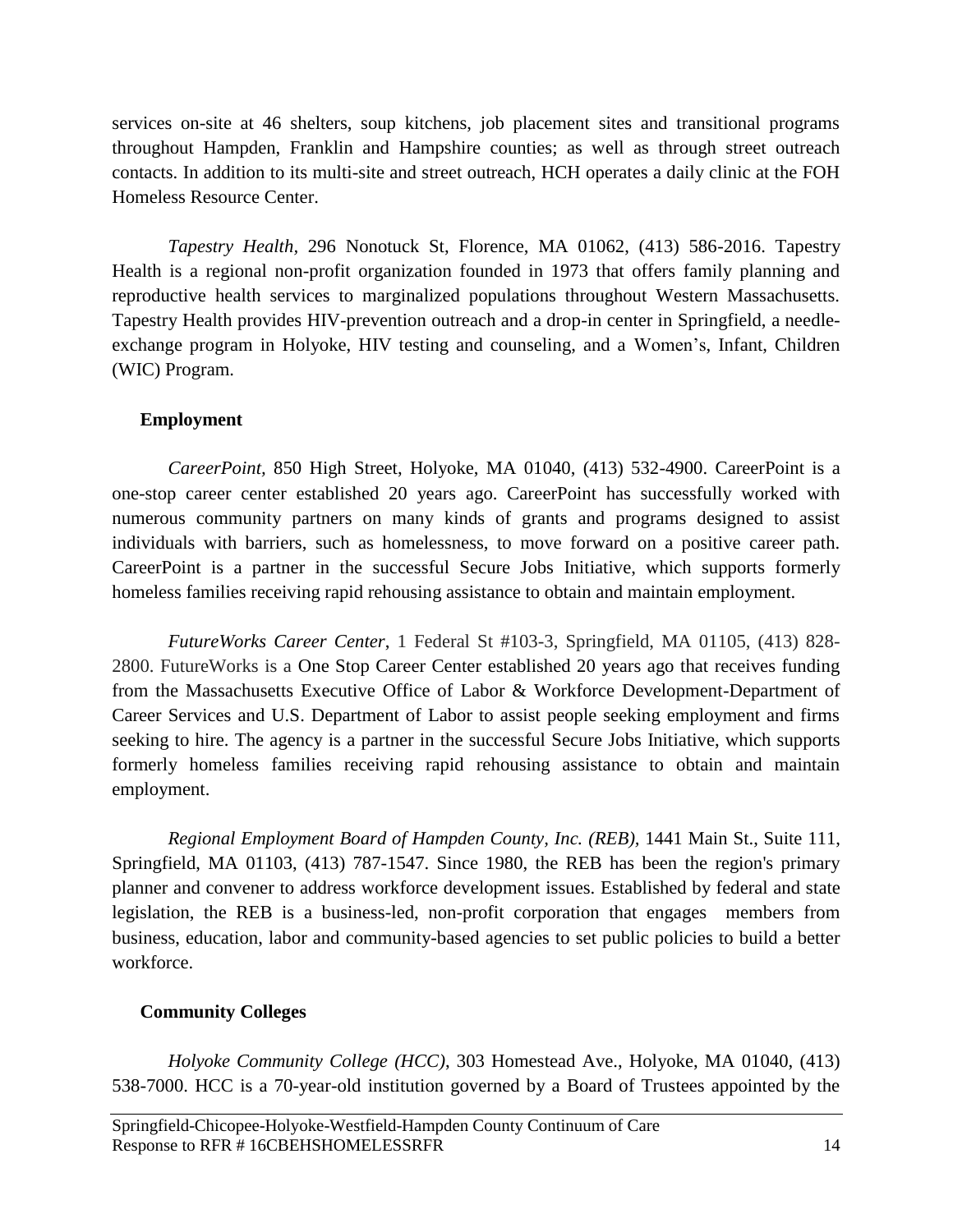services on-site at 46 shelters, soup kitchens, job placement sites and transitional programs throughout Hampden, Franklin and Hampshire counties; as well as through street outreach contacts. In addition to its multi-site and street outreach, HCH operates a daily clinic at the FOH Homeless Resource Center.

*Tapestry Health,* 296 Nonotuck St, Florence, MA 01062, (413) 586-2016. Tapestry Health is a regional non-profit organization founded in 1973 that offers family planning and reproductive health services to marginalized populations throughout Western Massachusetts. Tapestry Health provides HIV-prevention outreach and a drop-in center in Springfield, a needleexchange program in Holyoke, HIV testing and counseling, and a Women's, Infant, Children (WIC) Program.

### **Employment**

*CareerPoint,* 850 High Street, Holyoke, MA 01040, (413) 532-4900. CareerPoint is a one-stop career center established 20 years ago. CareerPoint has successfully worked with numerous community partners on many kinds of grants and programs designed to assist individuals with barriers, such as homelessness, to move forward on a positive career path. CareerPoint is a partner in the successful Secure Jobs Initiative, which supports formerly homeless families receiving rapid rehousing assistance to obtain and maintain employment.

*FutureWorks Career Center*, 1 Federal St #103-3, Springfield, MA 01105, (413) 828- 2800. FutureWorks is a One Stop Career Center established 20 years ago that receives funding from the Massachusetts Executive Office of Labor & Workforce Development-Department of Career Services and U.S. Department of Labor to assist people seeking employment and firms seeking to hire. The agency is a partner in the successful Secure Jobs Initiative, which supports formerly homeless families receiving rapid rehousing assistance to obtain and maintain employment.

*Regional Employment Board of Hampden County, Inc. (REB),* 1441 Main St., Suite 111, Springfield, MA 01103, (413) 787-1547. Since 1980, the REB has been the region's primary planner and convener to address workforce development issues. Established by federal and state legislation, the REB is a business-led, non-profit corporation that engages members from business, education, labor and community-based agencies to set public policies to build a better workforce.

# **Community Colleges**

*Holyoke Community College (HCC)*, 303 Homestead Ave., Holyoke, MA 01040, (413) 538-7000. HCC is a 70-year-old institution governed by a Board of Trustees appointed by the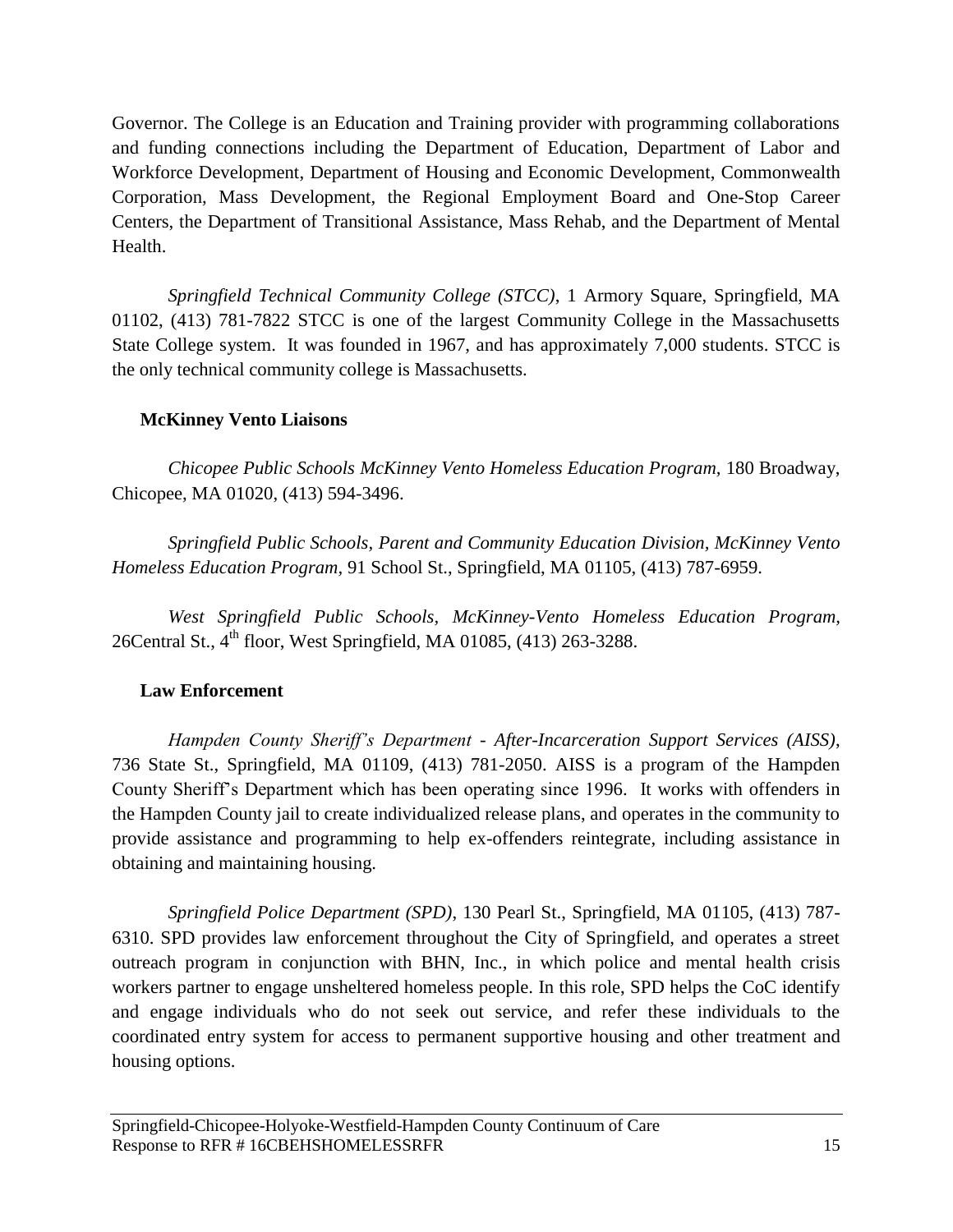Governor. The College is an Education and Training provider with programming collaborations and funding connections including the Department of Education, Department of Labor and Workforce Development, Department of Housing and Economic Development, Commonwealth Corporation, Mass Development, the Regional Employment Board and One-Stop Career Centers, the Department of Transitional Assistance, Mass Rehab, and the Department of Mental Health.

*Springfield Technical Community College (STCC)*, 1 Armory Square, Springfield, MA 01102, (413) 781-7822 STCC is one of the largest Community College in the Massachusetts State College system. It was founded in 1967, and has approximately 7,000 students. STCC is the only technical community college is Massachusetts.

# **McKinney Vento Liaisons**

*Chicopee Public Schools McKinney Vento Homeless Education Program,* 180 Broadway, Chicopee, MA 01020, (413) 594-3496.

*Springfield Public Schools, Parent and Community Education Division, McKinney Vento Homeless Education Program,* 91 School St., Springfield, MA 01105, (413) 787-6959.

*West Springfield Public Schools, McKinney-Vento Homeless Education Program,*  26Central St., 4<sup>th</sup> floor, West Springfield, MA 01085, (413) 263-3288.

# **Law Enforcement**

*Hampden County Sheriff's Department - After-Incarceration Support Services (AISS)*, 736 State St., Springfield, MA 01109, (413) 781-2050. AISS is a program of the Hampden County Sheriff's Department which has been operating since 1996. It works with offenders in the Hampden County jail to create individualized release plans, and operates in the community to provide assistance and programming to help ex-offenders reintegrate, including assistance in obtaining and maintaining housing.

*Springfield Police Department (SPD)*, 130 Pearl St., Springfield, MA 01105, (413) 787- 6310. SPD provides law enforcement throughout the City of Springfield, and operates a street outreach program in conjunction with BHN, Inc., in which police and mental health crisis workers partner to engage unsheltered homeless people. In this role, SPD helps the CoC identify and engage individuals who do not seek out service, and refer these individuals to the coordinated entry system for access to permanent supportive housing and other treatment and housing options.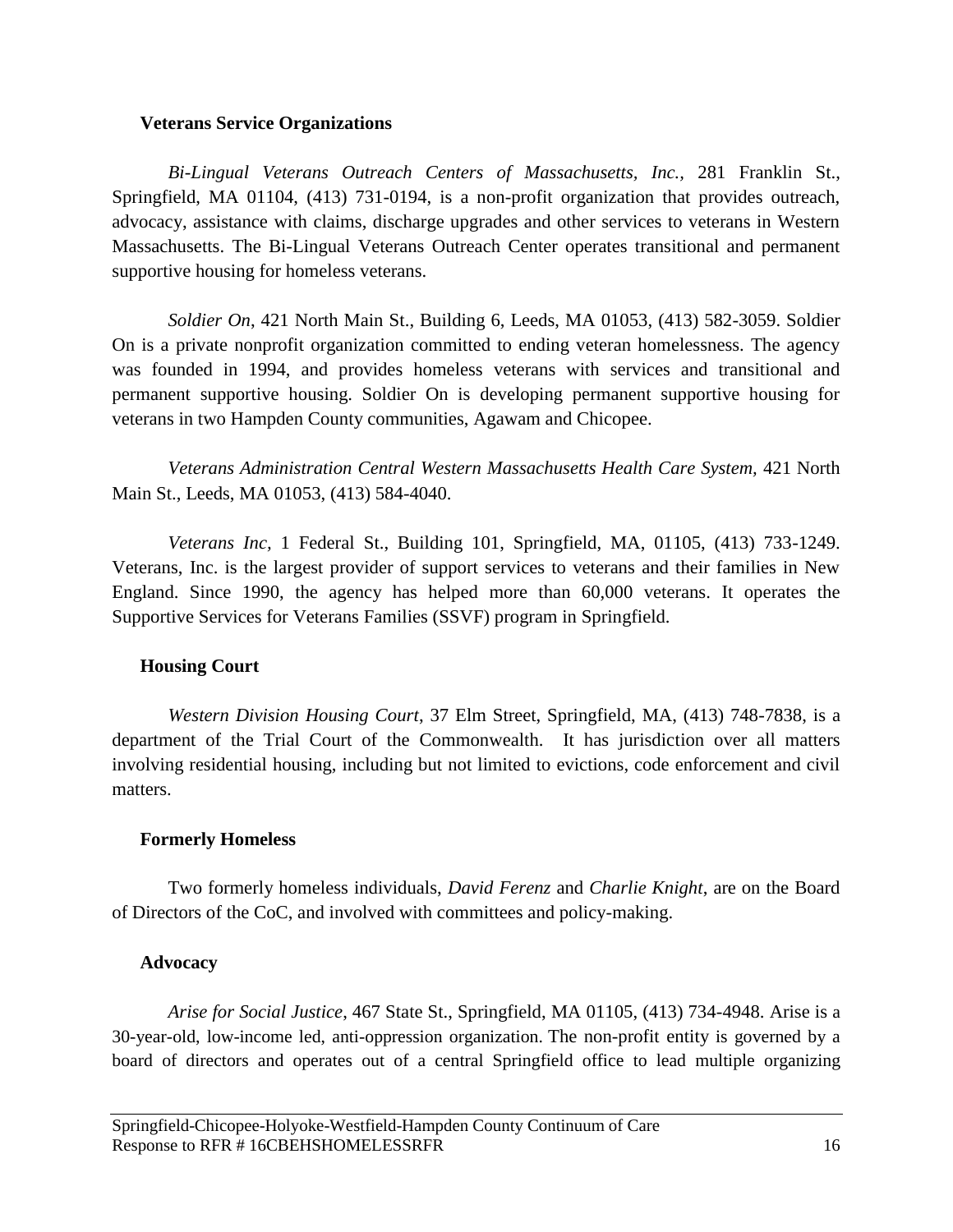#### **Veterans Service Organizations**

*Bi-Lingual Veterans Outreach Centers of Massachusetts, Inc.,* 281 Franklin St., Springfield, MA 01104, (413) 731-0194, is a non-profit organization that provides outreach, advocacy, assistance with claims, discharge upgrades and other services to veterans in Western Massachusetts. The Bi-Lingual Veterans Outreach Center operates transitional and permanent supportive housing for homeless veterans.

*Soldier On*, 421 North Main St., Building 6, Leeds, MA 01053, (413) 582-3059. Soldier On is a private nonprofit organization committed to ending veteran homelessness. The agency was founded in 1994, and provides homeless veterans with services and transitional and permanent supportive housing. Soldier On is developing permanent supportive housing for veterans in two Hampden County communities, Agawam and Chicopee.

*Veterans Administration Central Western Massachusetts Health Care System,* 421 North Main St., Leeds, MA 01053, (413) 584-4040.

*Veterans Inc,* 1 Federal St., Building 101, Springfield, MA, 01105, (413) 733-1249. Veterans, Inc. is the largest provider of support services to veterans and their families in New England. Since 1990, the agency has helped more than 60,000 veterans. It operates the Supportive Services for Veterans Families (SSVF) program in Springfield.

# **Housing Court**

*Western Division Housing Court*, 37 Elm Street, Springfield, MA, (413) 748-7838, is a department of the Trial Court of the Commonwealth. It has jurisdiction over all matters involving residential housing, including but not limited to evictions, code enforcement and civil matters.

### **Formerly Homeless**

Two formerly homeless individuals, *David Ferenz* and *Charlie Knight*, are on the Board of Directors of the CoC, and involved with committees and policy-making.

### **Advocacy**

*Arise for Social Justice*, 467 State St., Springfield, MA 01105, (413) 734-4948. Arise is a 30-year-old, low-income led, anti-oppression organization. The non-profit entity is governed by a board of directors and operates out of a central Springfield office to lead multiple organizing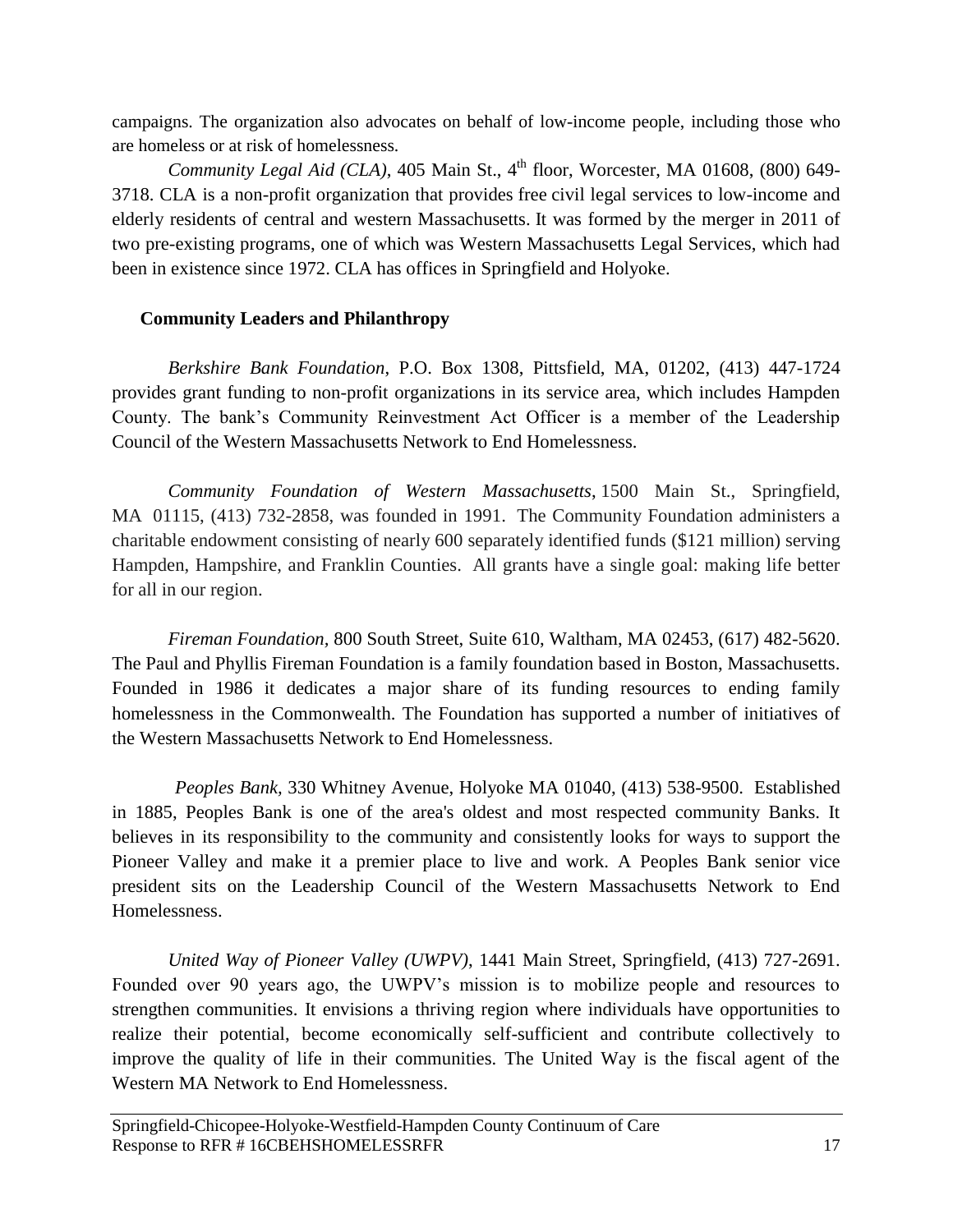campaigns. The organization also advocates on behalf of low-income people, including those who are homeless or at risk of homelessness.

*Community Legal Aid (CLA)*, 405 Main St., 4<sup>th</sup> floor, Worcester, MA 01608, (800) 649-3718. CLA is a non-profit organization that provides free civil legal services to low-income and elderly residents of central and western Massachusetts. It was formed by the merger in 2011 of two pre-existing programs, one of which was Western Massachusetts Legal Services, which had been in existence since 1972. CLA has offices in Springfield and Holyoke.

# **Community Leaders and Philanthropy**

*Berkshire Bank Foundation*, P.O. Box 1308, Pittsfield, MA, 01202, (413) 447-1724 provides grant funding to non-profit organizations in its service area, which includes Hampden County. The bank's Community Reinvestment Act Officer is a member of the Leadership Council of the Western Massachusetts Network to End Homelessness.

*Community Foundation of Western Massachusetts*, 1500 Main St., Springfield, MA 01115, (413) 732-2858, was founded in 1991. The Community Foundation administers a charitable endowment consisting of nearly 600 separately identified funds (\$121 million) serving Hampden, Hampshire, and Franklin Counties. All grants have a single goal: making life better for all in our region.

*Fireman Foundation,* 800 South Street, Suite 610, Waltham, MA 02453, (617) 482-5620. The Paul and Phyllis Fireman Foundation is a family foundation based in Boston, Massachusetts. Founded in 1986 it dedicates a major share of its funding resources to ending family homelessness in the Commonwealth. The Foundation has supported a number of initiatives of the Western Massachusetts Network to End Homelessness.

*Peoples Bank,* 330 Whitney Avenue, Holyoke MA 01040, (413) 538-9500. Established in 1885, Peoples Bank is one of the area's oldest and most respected community Banks. It believes in its responsibility to the community and consistently looks for ways to support the Pioneer Valley and make it a premier place to live and work. A Peoples Bank senior vice president sits on the Leadership Council of the Western Massachusetts Network to End Homelessness.

*United Way of Pioneer Valley (UWPV)*, 1441 Main Street, Springfield, (413) 727-2691. Founded over 90 years ago, the UWPV's mission is to mobilize people and resources to strengthen communities. It envisions a thriving region where individuals have opportunities to realize their potential, become economically self-sufficient and contribute collectively to improve the quality of life in their communities. The United Way is the fiscal agent of the Western MA Network to End Homelessness.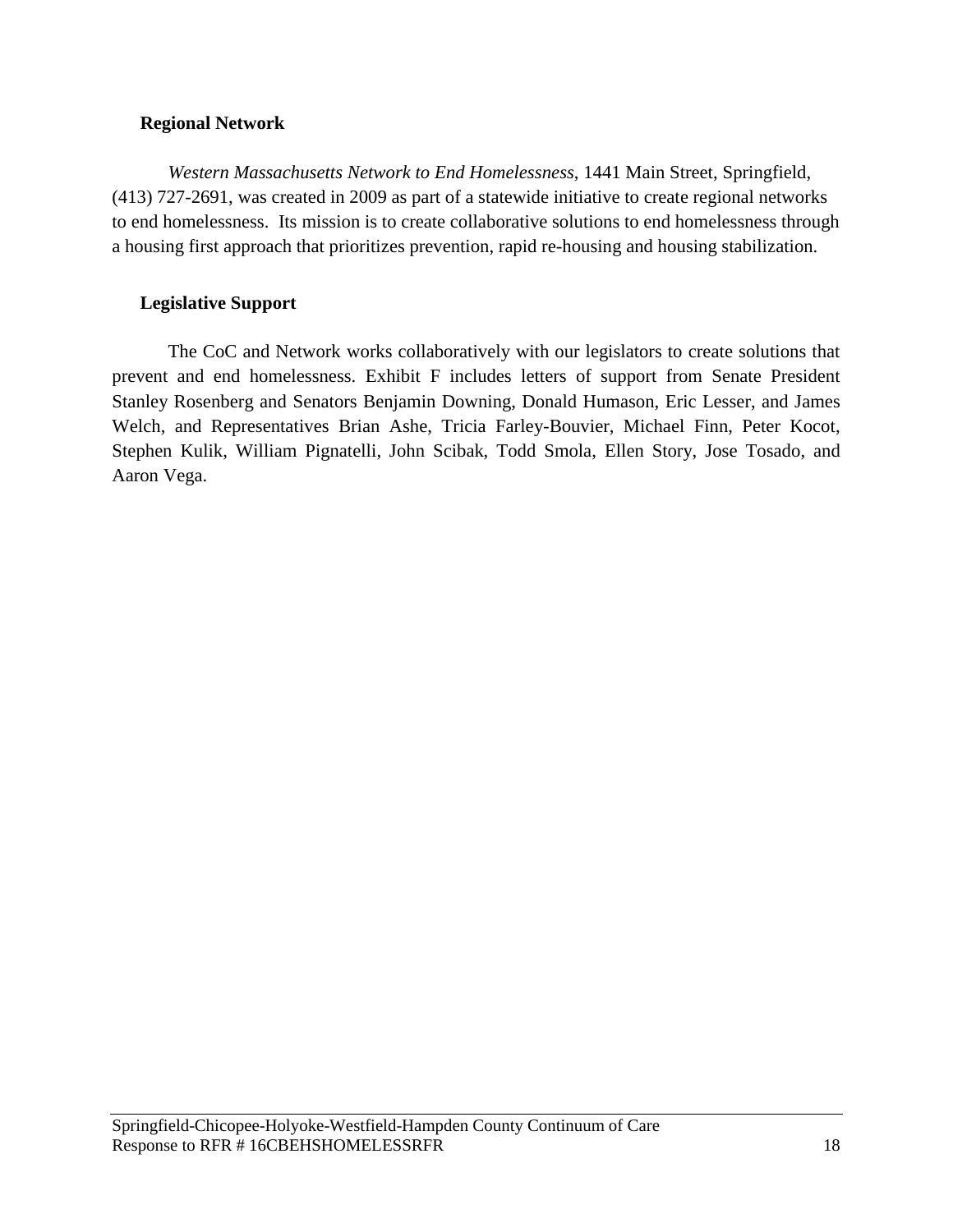### **Regional Network**

*Western Massachusetts Network to End Homelessness*, 1441 Main Street, Springfield, (413) 727-2691, was created in 2009 as part of a statewide initiative to create regional networks to end homelessness. Its mission is to create collaborative solutions to end homelessness through a housing first approach that prioritizes prevention, rapid re-housing and housing stabilization.

# **Legislative Support**

The CoC and Network works collaboratively with our legislators to create solutions that prevent and end homelessness. Exhibit F includes letters of support from Senate President Stanley Rosenberg and Senators Benjamin Downing, Donald Humason, Eric Lesser, and James Welch, and Representatives Brian Ashe, Tricia Farley-Bouvier, Michael Finn, Peter Kocot, Stephen Kulik, William Pignatelli, John Scibak, Todd Smola, Ellen Story, Jose Tosado, and Aaron Vega.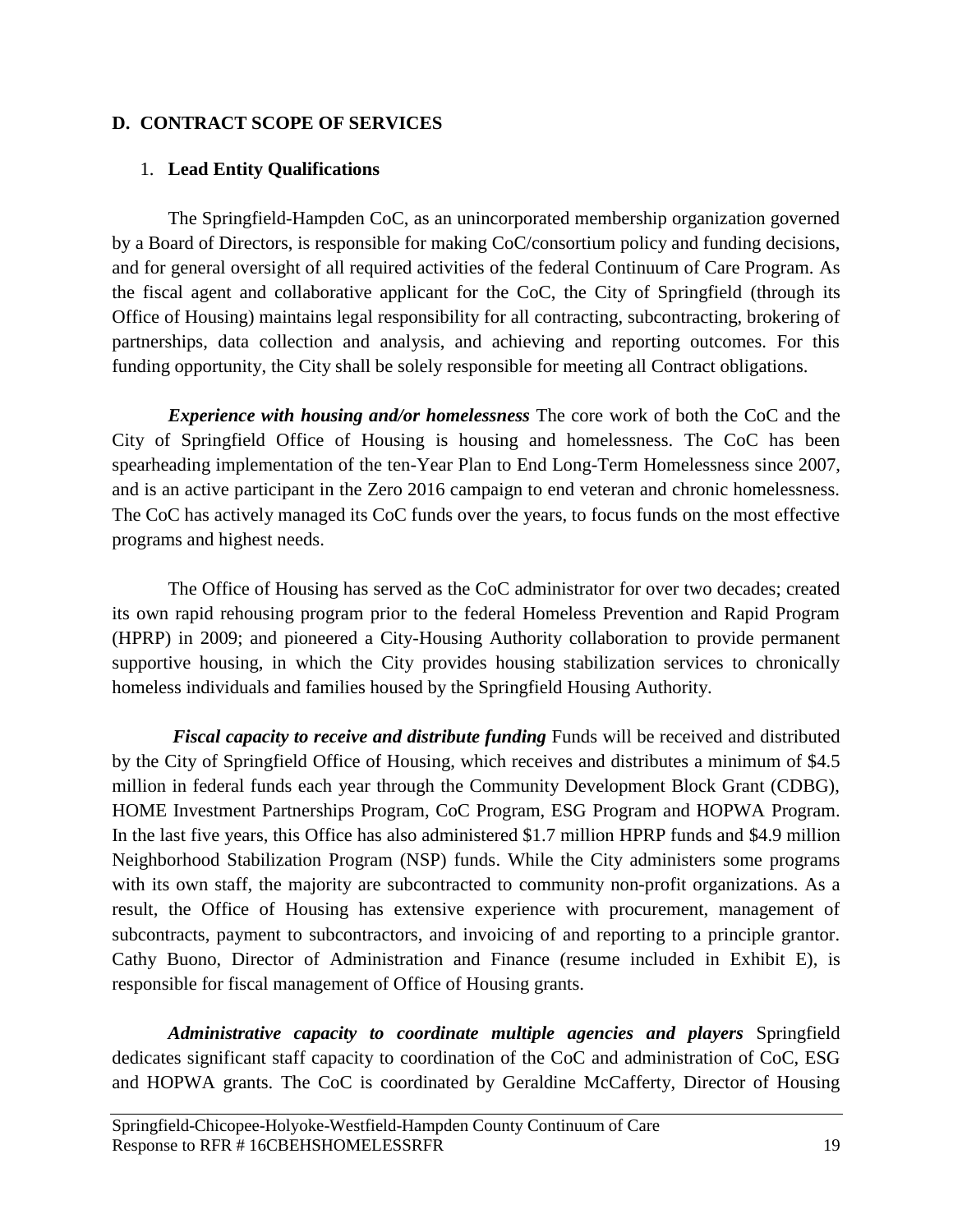### <span id="page-19-0"></span>**D. CONTRACT SCOPE OF SERVICES**

### <span id="page-19-1"></span>1. **Lead Entity Qualifications**

The Springfield-Hampden CoC, as an unincorporated membership organization governed by a Board of Directors, is responsible for making CoC/consortium policy and funding decisions, and for general oversight of all required activities of the federal Continuum of Care Program. As the fiscal agent and collaborative applicant for the CoC, the City of Springfield (through its Office of Housing) maintains legal responsibility for all contracting, subcontracting, brokering of partnerships, data collection and analysis, and achieving and reporting outcomes. For this funding opportunity, the City shall be solely responsible for meeting all Contract obligations.

*Experience with housing and/or homelessness* The core work of both the CoC and the City of Springfield Office of Housing is housing and homelessness. The CoC has been spearheading implementation of the ten-Year Plan to End Long-Term Homelessness since 2007, and is an active participant in the Zero 2016 campaign to end veteran and chronic homelessness. The CoC has actively managed its CoC funds over the years, to focus funds on the most effective programs and highest needs.

The Office of Housing has served as the CoC administrator for over two decades; created its own rapid rehousing program prior to the federal Homeless Prevention and Rapid Program (HPRP) in 2009; and pioneered a City-Housing Authority collaboration to provide permanent supportive housing, in which the City provides housing stabilization services to chronically homeless individuals and families housed by the Springfield Housing Authority.

*Fiscal capacity to receive and distribute funding* Funds will be received and distributed by the City of Springfield Office of Housing, which receives and distributes a minimum of \$4.5 million in federal funds each year through the Community Development Block Grant (CDBG), HOME Investment Partnerships Program, CoC Program, ESG Program and HOPWA Program. In the last five years, this Office has also administered \$1.7 million HPRP funds and \$4.9 million Neighborhood Stabilization Program (NSP) funds. While the City administers some programs with its own staff, the majority are subcontracted to community non-profit organizations. As a result, the Office of Housing has extensive experience with procurement, management of subcontracts, payment to subcontractors, and invoicing of and reporting to a principle grantor. Cathy Buono, Director of Administration and Finance (resume included in Exhibit E), is responsible for fiscal management of Office of Housing grants.

*Administrative capacity to coordinate multiple agencies and players* Springfield dedicates significant staff capacity to coordination of the CoC and administration of CoC, ESG and HOPWA grants. The CoC is coordinated by Geraldine McCafferty, Director of Housing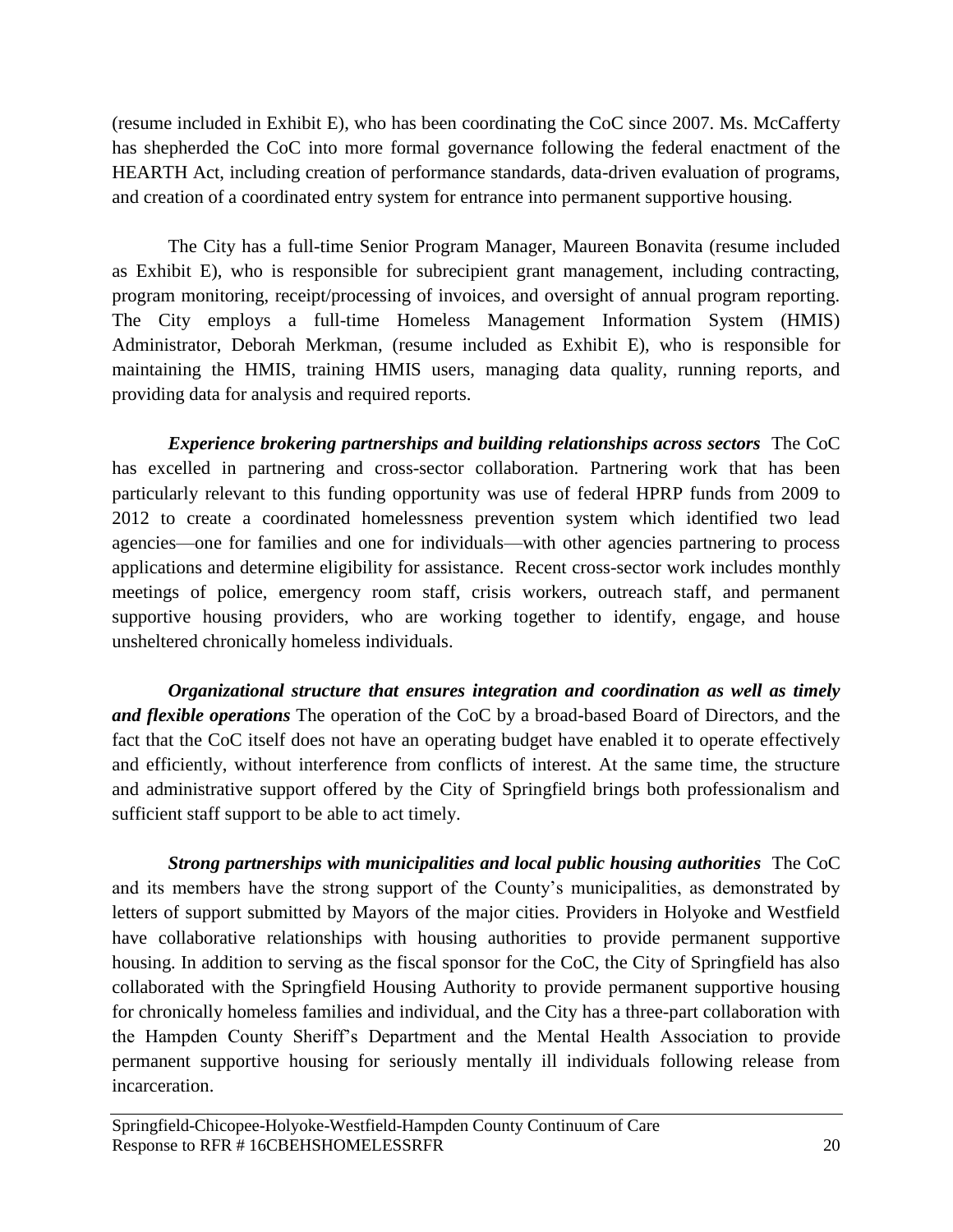(resume included in Exhibit E), who has been coordinating the CoC since 2007. Ms. McCafferty has shepherded the CoC into more formal governance following the federal enactment of the HEARTH Act, including creation of performance standards, data-driven evaluation of programs, and creation of a coordinated entry system for entrance into permanent supportive housing.

The City has a full-time Senior Program Manager, Maureen Bonavita (resume included as Exhibit E), who is responsible for subrecipient grant management, including contracting, program monitoring, receipt/processing of invoices, and oversight of annual program reporting. The City employs a full-time Homeless Management Information System (HMIS) Administrator, Deborah Merkman, (resume included as Exhibit E), who is responsible for maintaining the HMIS, training HMIS users, managing data quality, running reports, and providing data for analysis and required reports.

*Experience brokering partnerships and building relationships across sectors* The CoC has excelled in partnering and cross-sector collaboration. Partnering work that has been particularly relevant to this funding opportunity was use of federal HPRP funds from 2009 to 2012 to create a coordinated homelessness prevention system which identified two lead agencies—one for families and one for individuals—with other agencies partnering to process applications and determine eligibility for assistance. Recent cross-sector work includes monthly meetings of police, emergency room staff, crisis workers, outreach staff, and permanent supportive housing providers, who are working together to identify, engage, and house unsheltered chronically homeless individuals.

*Organizational structure that ensures integration and coordination as well as timely and flexible operations* The operation of the CoC by a broad-based Board of Directors, and the fact that the CoC itself does not have an operating budget have enabled it to operate effectively and efficiently, without interference from conflicts of interest. At the same time, the structure and administrative support offered by the City of Springfield brings both professionalism and sufficient staff support to be able to act timely.

*Strong partnerships with municipalities and local public housing authorities*The CoC and its members have the strong support of the County's municipalities, as demonstrated by letters of support submitted by Mayors of the major cities. Providers in Holyoke and Westfield have collaborative relationships with housing authorities to provide permanent supportive housing. In addition to serving as the fiscal sponsor for the CoC, the City of Springfield has also collaborated with the Springfield Housing Authority to provide permanent supportive housing for chronically homeless families and individual, and the City has a three-part collaboration with the Hampden County Sheriff's Department and the Mental Health Association to provide permanent supportive housing for seriously mentally ill individuals following release from incarceration.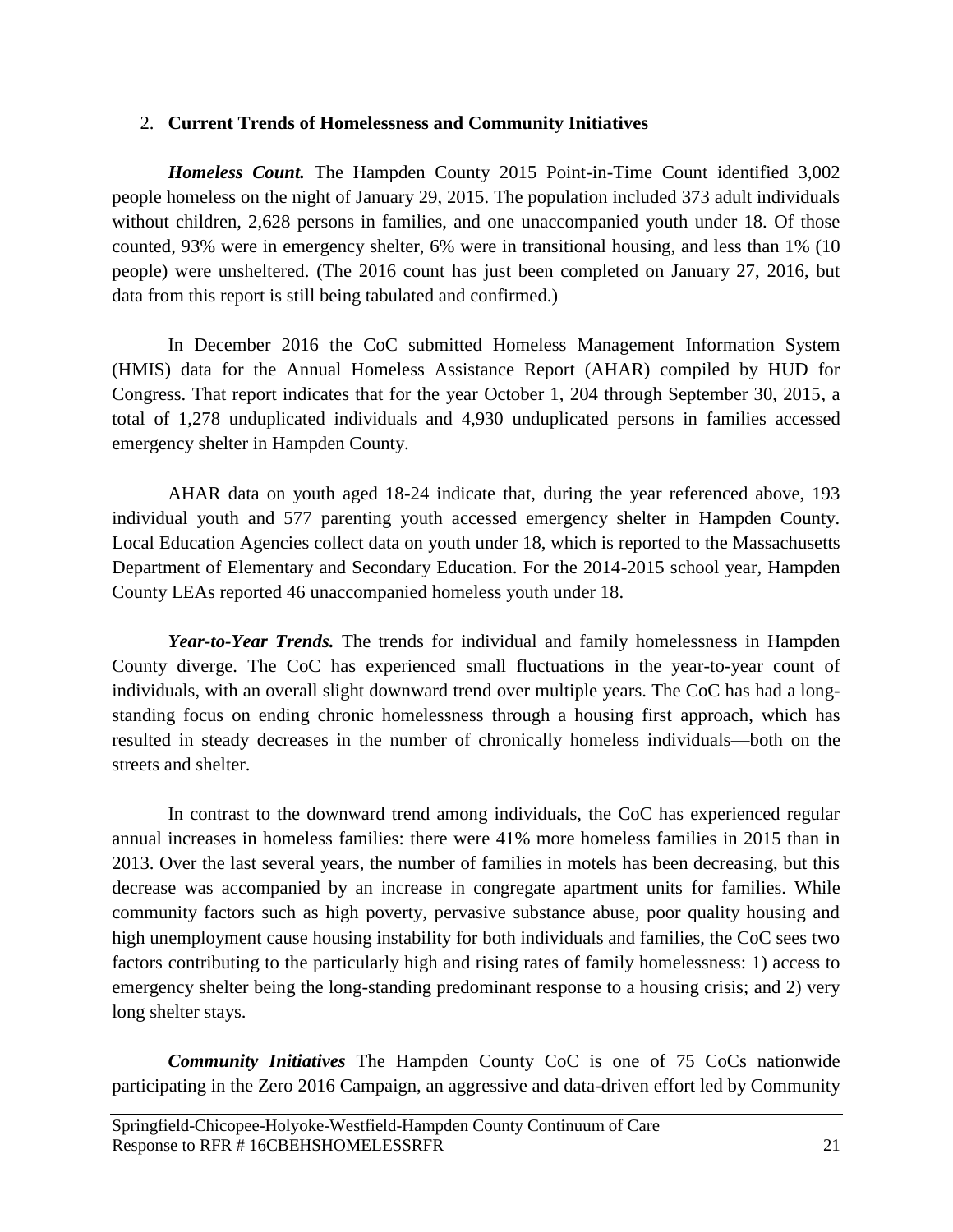### <span id="page-21-0"></span>2. **Current Trends of Homelessness and Community Initiatives**

*Homeless Count.* The Hampden County 2015 Point-in-Time Count identified 3,002 people homeless on the night of January 29, 2015. The population included 373 adult individuals without children, 2,628 persons in families, and one unaccompanied youth under 18. Of those counted, 93% were in emergency shelter, 6% were in transitional housing, and less than 1% (10 people) were unsheltered. (The 2016 count has just been completed on January 27, 2016, but data from this report is still being tabulated and confirmed.)

In December 2016 the CoC submitted Homeless Management Information System (HMIS) data for the Annual Homeless Assistance Report (AHAR) compiled by HUD for Congress. That report indicates that for the year October 1, 204 through September 30, 2015, a total of 1,278 unduplicated individuals and 4,930 unduplicated persons in families accessed emergency shelter in Hampden County.

AHAR data on youth aged 18-24 indicate that, during the year referenced above, 193 individual youth and 577 parenting youth accessed emergency shelter in Hampden County. Local Education Agencies collect data on youth under 18, which is reported to the Massachusetts Department of Elementary and Secondary Education. For the 2014-2015 school year, Hampden County LEAs reported 46 unaccompanied homeless youth under 18.

*Year-to-Year Trends.* The trends for individual and family homelessness in Hampden County diverge. The CoC has experienced small fluctuations in the year-to-year count of individuals, with an overall slight downward trend over multiple years. The CoC has had a longstanding focus on ending chronic homelessness through a housing first approach, which has resulted in steady decreases in the number of chronically homeless individuals—both on the streets and shelter.

In contrast to the downward trend among individuals, the CoC has experienced regular annual increases in homeless families: there were 41% more homeless families in 2015 than in 2013. Over the last several years, the number of families in motels has been decreasing, but this decrease was accompanied by an increase in congregate apartment units for families. While community factors such as high poverty, pervasive substance abuse, poor quality housing and high unemployment cause housing instability for both individuals and families, the CoC sees two factors contributing to the particularly high and rising rates of family homelessness: 1) access to emergency shelter being the long-standing predominant response to a housing crisis; and 2) very long shelter stays.

*Community Initiatives* The Hampden County CoC is one of 75 CoCs nationwide participating in the Zero 2016 Campaign, an aggressive and data-driven effort led by Community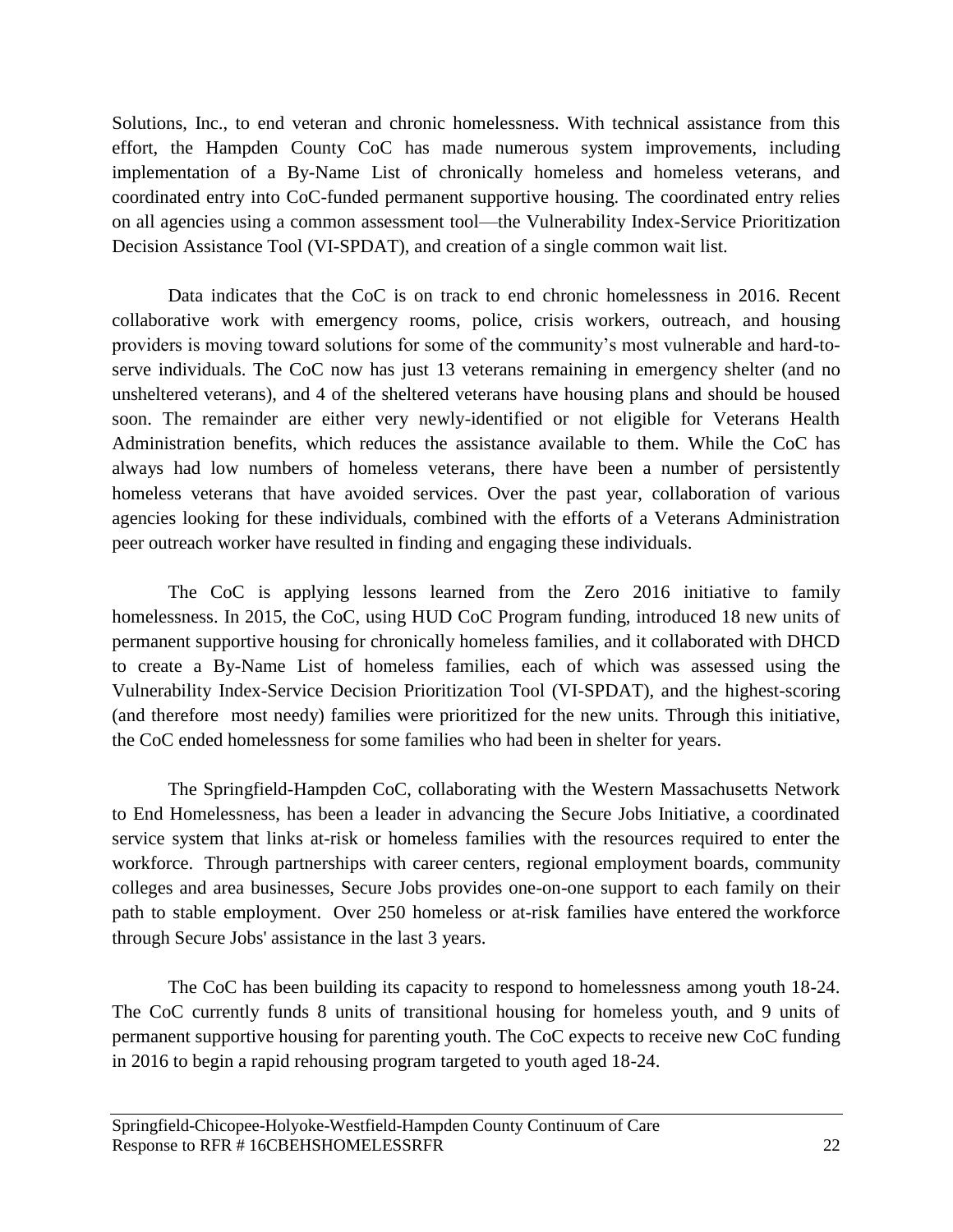Solutions, Inc., to end veteran and chronic homelessness. With technical assistance from this effort, the Hampden County CoC has made numerous system improvements, including implementation of a By-Name List of chronically homeless and homeless veterans, and coordinated entry into CoC-funded permanent supportive housing. The coordinated entry relies on all agencies using a common assessment tool—the Vulnerability Index-Service Prioritization Decision Assistance Tool (VI-SPDAT), and creation of a single common wait list.

Data indicates that the CoC is on track to end chronic homelessness in 2016. Recent collaborative work with emergency rooms, police, crisis workers, outreach, and housing providers is moving toward solutions for some of the community's most vulnerable and hard-toserve individuals. The CoC now has just 13 veterans remaining in emergency shelter (and no unsheltered veterans), and 4 of the sheltered veterans have housing plans and should be housed soon. The remainder are either very newly-identified or not eligible for Veterans Health Administration benefits, which reduces the assistance available to them. While the CoC has always had low numbers of homeless veterans, there have been a number of persistently homeless veterans that have avoided services. Over the past year, collaboration of various agencies looking for these individuals, combined with the efforts of a Veterans Administration peer outreach worker have resulted in finding and engaging these individuals.

The CoC is applying lessons learned from the Zero 2016 initiative to family homelessness. In 2015, the CoC, using HUD CoC Program funding, introduced 18 new units of permanent supportive housing for chronically homeless families, and it collaborated with DHCD to create a By-Name List of homeless families, each of which was assessed using the Vulnerability Index-Service Decision Prioritization Tool (VI-SPDAT), and the highest-scoring (and therefore most needy) families were prioritized for the new units. Through this initiative, the CoC ended homelessness for some families who had been in shelter for years.

The Springfield-Hampden CoC, collaborating with the Western Massachusetts Network to End Homelessness, has been a leader in advancing the Secure Jobs Initiative, a coordinated service system that links at-risk or homeless families with the resources required to enter the workforce. Through partnerships with career centers, regional employment boards, community colleges and area businesses, Secure Jobs provides one-on-one support to each family on their path to stable employment. Over 250 homeless or at-risk families have entered the workforce through Secure Jobs' assistance in the last 3 years.

The CoC has been building its capacity to respond to homelessness among youth 18-24. The CoC currently funds 8 units of transitional housing for homeless youth, and 9 units of permanent supportive housing for parenting youth. The CoC expects to receive new CoC funding in 2016 to begin a rapid rehousing program targeted to youth aged 18-24.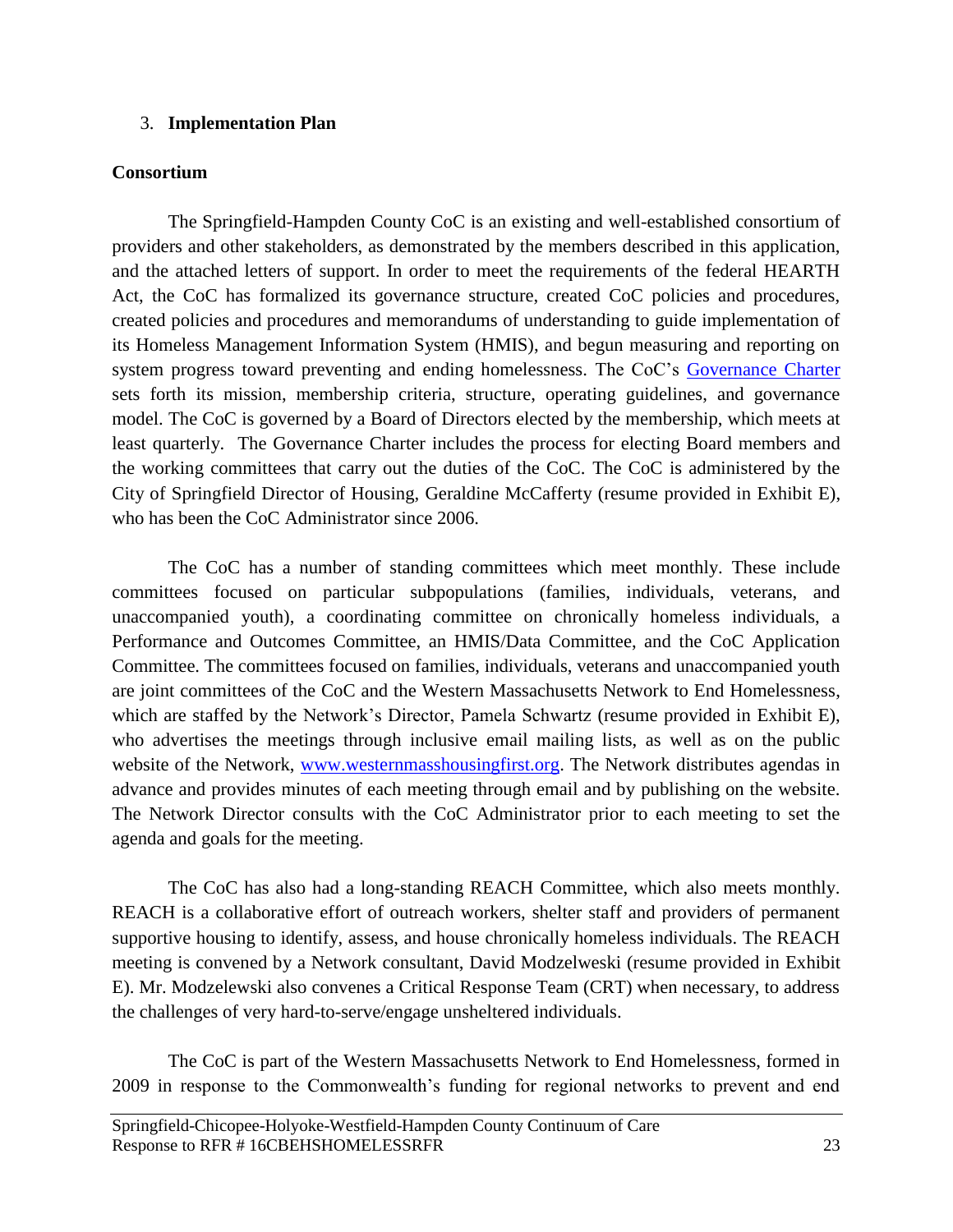### <span id="page-23-0"></span>3. **Implementation Plan**

### **Consortium**

The Springfield-Hampden County CoC is an existing and well-established consortium of providers and other stakeholders, as demonstrated by the members described in this application, and the attached letters of support. In order to meet the requirements of the federal HEARTH Act, the CoC has formalized its governance structure, created CoC policies and procedures, created policies and procedures and memorandums of understanding to guide implementation of its Homeless Management Information System (HMIS), and begun measuring and reporting on system progress toward preventing and ending homelessness. The CoC's [Governance Charter](http://westernmasshousingfirst.org/wp-content/uploads/2013/02/CoC-Governance-Charter-FINAL-9-13-2013.pdf) sets forth its mission, membership criteria, structure, operating guidelines, and governance model. The CoC is governed by a Board of Directors elected by the membership, which meets at least quarterly. The Governance Charter includes the process for electing Board members and the working committees that carry out the duties of the CoC. The CoC is administered by the City of Springfield Director of Housing, Geraldine McCafferty (resume provided in Exhibit E), who has been the CoC Administrator since 2006.

The CoC has a number of standing committees which meet monthly. These include committees focused on particular subpopulations (families, individuals, veterans, and unaccompanied youth), a coordinating committee on chronically homeless individuals, a Performance and Outcomes Committee, an HMIS/Data Committee, and the CoC Application Committee. The committees focused on families, individuals, veterans and unaccompanied youth are joint committees of the CoC and the Western Massachusetts Network to End Homelessness, which are staffed by the Network's Director, Pamela Schwartz (resume provided in Exhibit E), who advertises the meetings through inclusive email mailing lists, as well as on the public website of the Network, [www.westernmasshousingfirst.org.](http://www.westernmasshousingfirst.org/) The Network distributes agendas in advance and provides minutes of each meeting through email and by publishing on the website. The Network Director consults with the CoC Administrator prior to each meeting to set the agenda and goals for the meeting.

The CoC has also had a long-standing REACH Committee, which also meets monthly. REACH is a collaborative effort of outreach workers, shelter staff and providers of permanent supportive housing to identify, assess, and house chronically homeless individuals. The REACH meeting is convened by a Network consultant, David Modzelweski (resume provided in Exhibit E). Mr. Modzelewski also convenes a Critical Response Team (CRT) when necessary, to address the challenges of very hard-to-serve/engage unsheltered individuals.

The CoC is part of the Western Massachusetts Network to End Homelessness, formed in 2009 in response to the Commonwealth's funding for regional networks to prevent and end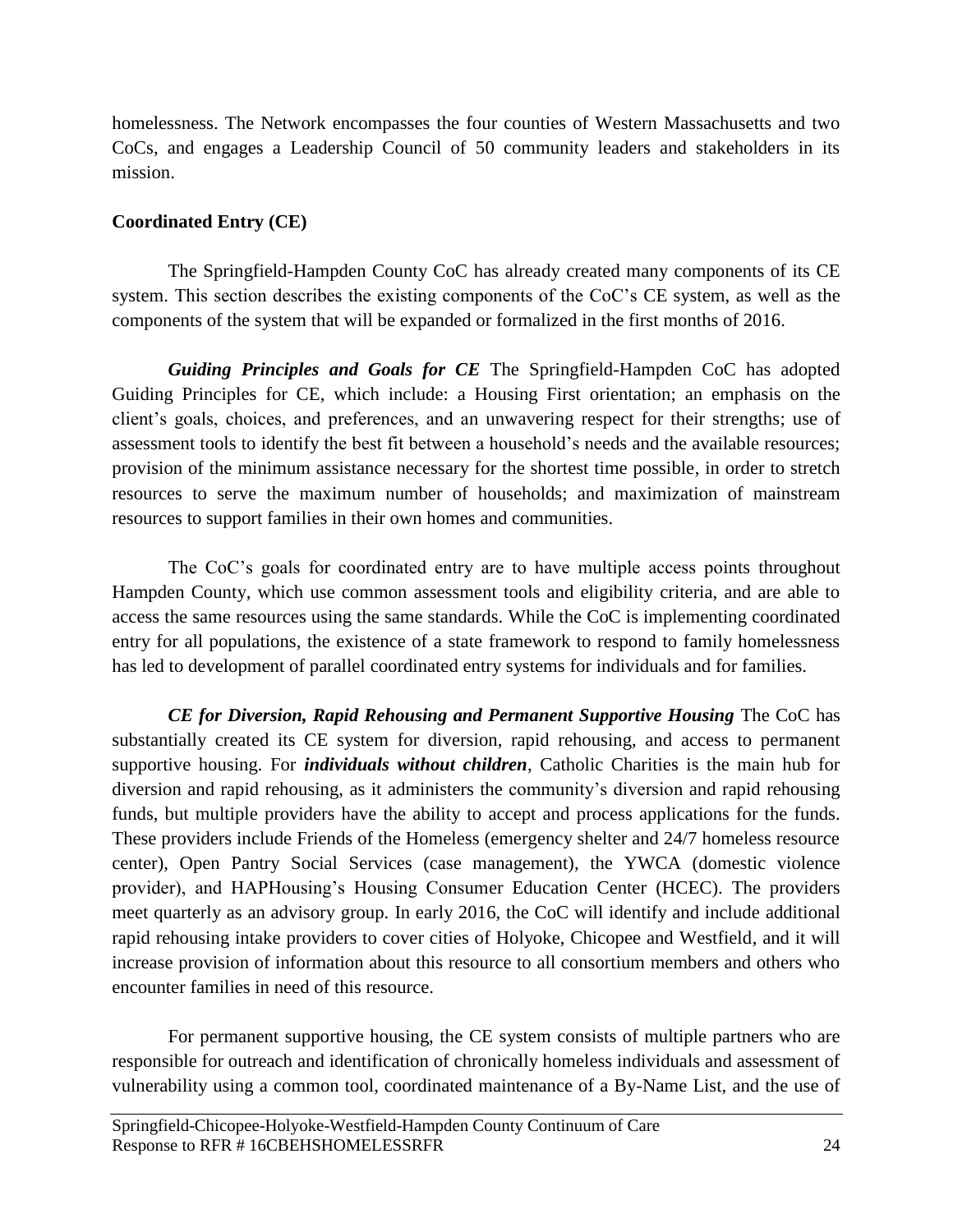homelessness. The Network encompasses the four counties of Western Massachusetts and two CoCs, and engages a Leadership Council of 50 community leaders and stakeholders in its mission.

### **Coordinated Entry (CE)**

The Springfield-Hampden County CoC has already created many components of its CE system. This section describes the existing components of the CoC's CE system, as well as the components of the system that will be expanded or formalized in the first months of 2016.

*Guiding Principles and Goals for CE* The Springfield-Hampden CoC has adopted Guiding Principles for CE, which include: a Housing First orientation; an emphasis on the client's goals, choices, and preferences, and an unwavering respect for their strengths; use of assessment tools to identify the best fit between a household's needs and the available resources; provision of the minimum assistance necessary for the shortest time possible, in order to stretch resources to serve the maximum number of households; and maximization of mainstream resources to support families in their own homes and communities.

The CoC's goals for coordinated entry are to have multiple access points throughout Hampden County, which use common assessment tools and eligibility criteria, and are able to access the same resources using the same standards. While the CoC is implementing coordinated entry for all populations, the existence of a state framework to respond to family homelessness has led to development of parallel coordinated entry systems for individuals and for families.

*CE for Diversion, Rapid Rehousing and Permanent Supportive Housing* The CoC has substantially created its CE system for diversion, rapid rehousing, and access to permanent supportive housing. For *individuals without children*, Catholic Charities is the main hub for diversion and rapid rehousing, as it administers the community's diversion and rapid rehousing funds, but multiple providers have the ability to accept and process applications for the funds. These providers include Friends of the Homeless (emergency shelter and 24/7 homeless resource center), Open Pantry Social Services (case management), the YWCA (domestic violence provider), and HAPHousing's Housing Consumer Education Center (HCEC). The providers meet quarterly as an advisory group. In early 2016, the CoC will identify and include additional rapid rehousing intake providers to cover cities of Holyoke, Chicopee and Westfield, and it will increase provision of information about this resource to all consortium members and others who encounter families in need of this resource.

For permanent supportive housing, the CE system consists of multiple partners who are responsible for outreach and identification of chronically homeless individuals and assessment of vulnerability using a common tool, coordinated maintenance of a By-Name List, and the use of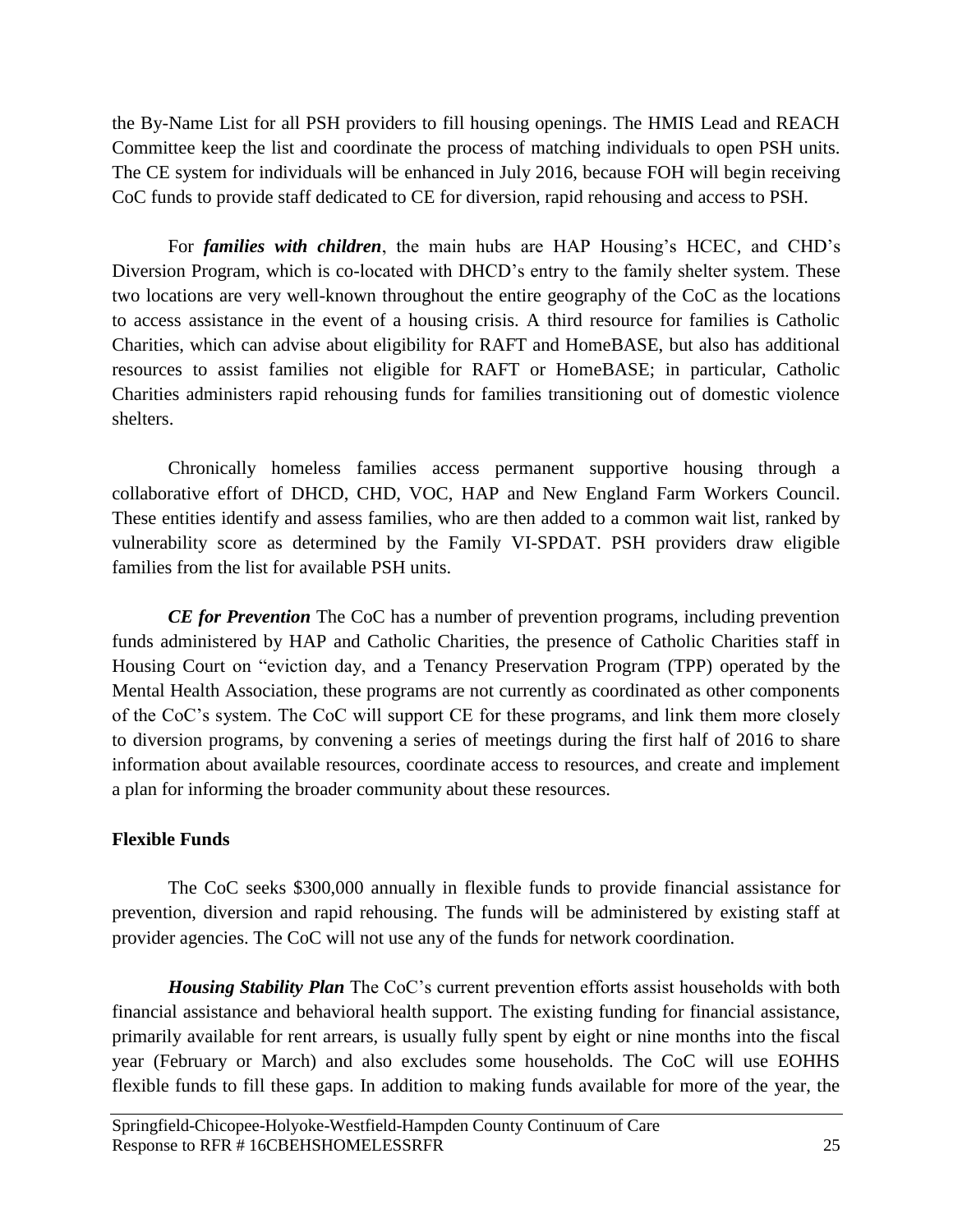the By-Name List for all PSH providers to fill housing openings. The HMIS Lead and REACH Committee keep the list and coordinate the process of matching individuals to open PSH units. The CE system for individuals will be enhanced in July 2016, because FOH will begin receiving CoC funds to provide staff dedicated to CE for diversion, rapid rehousing and access to PSH.

For *families with children*, the main hubs are HAP Housing's HCEC, and CHD's Diversion Program, which is co-located with DHCD's entry to the family shelter system. These two locations are very well-known throughout the entire geography of the CoC as the locations to access assistance in the event of a housing crisis. A third resource for families is Catholic Charities, which can advise about eligibility for RAFT and HomeBASE, but also has additional resources to assist families not eligible for RAFT or HomeBASE; in particular, Catholic Charities administers rapid rehousing funds for families transitioning out of domestic violence shelters.

Chronically homeless families access permanent supportive housing through a collaborative effort of DHCD, CHD, VOC, HAP and New England Farm Workers Council. These entities identify and assess families, who are then added to a common wait list, ranked by vulnerability score as determined by the Family VI-SPDAT. PSH providers draw eligible families from the list for available PSH units.

*CE for Prevention* The CoC has a number of prevention programs, including prevention funds administered by HAP and Catholic Charities, the presence of Catholic Charities staff in Housing Court on "eviction day, and a Tenancy Preservation Program (TPP) operated by the Mental Health Association, these programs are not currently as coordinated as other components of the CoC's system. The CoC will support CE for these programs, and link them more closely to diversion programs, by convening a series of meetings during the first half of 2016 to share information about available resources, coordinate access to resources, and create and implement a plan for informing the broader community about these resources.

# **Flexible Funds**

The CoC seeks \$300,000 annually in flexible funds to provide financial assistance for prevention, diversion and rapid rehousing. The funds will be administered by existing staff at provider agencies. The CoC will not use any of the funds for network coordination.

*Housing Stability Plan* The CoC's current prevention efforts assist households with both financial assistance and behavioral health support. The existing funding for financial assistance, primarily available for rent arrears, is usually fully spent by eight or nine months into the fiscal year (February or March) and also excludes some households. The CoC will use EOHHS flexible funds to fill these gaps. In addition to making funds available for more of the year, the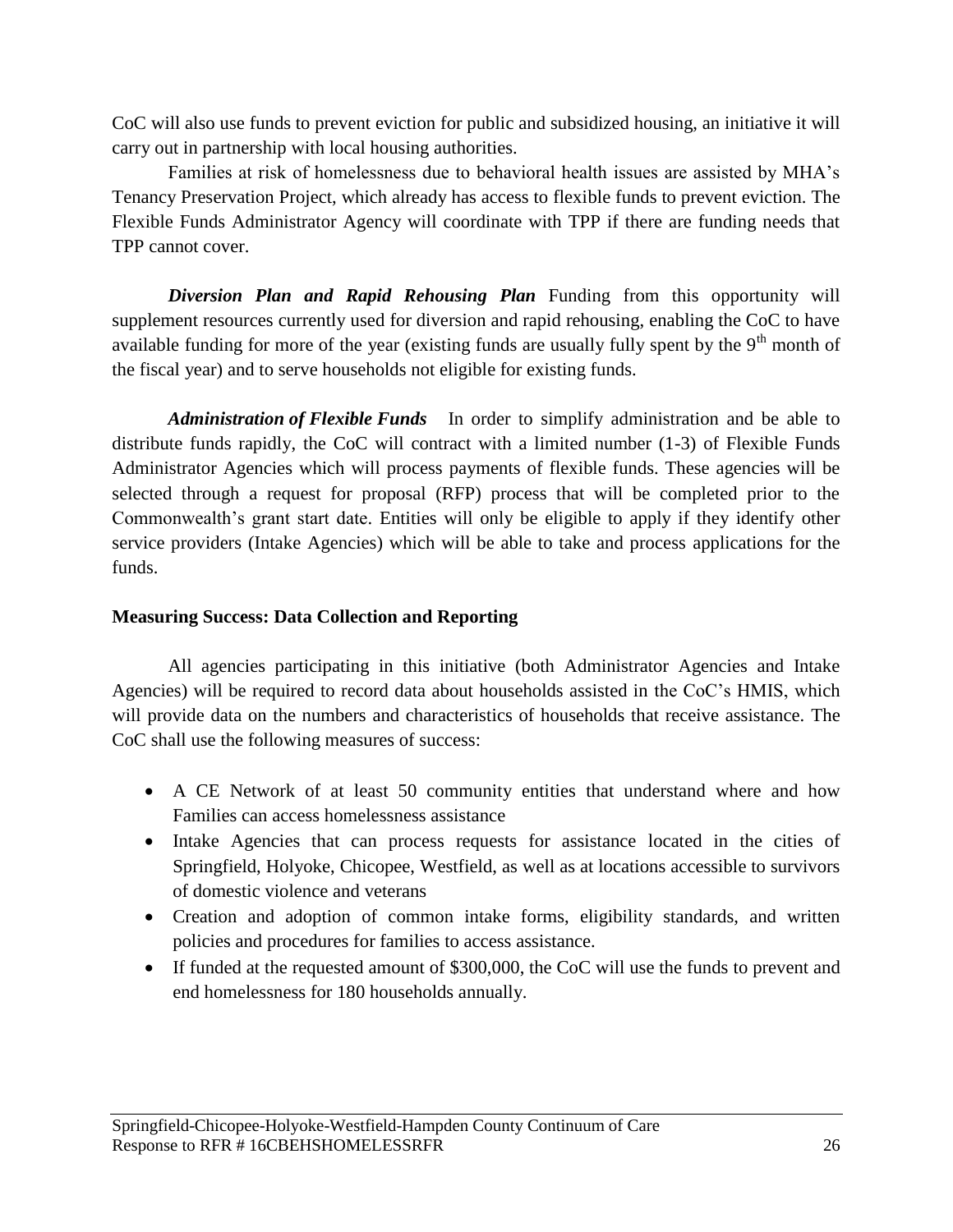CoC will also use funds to prevent eviction for public and subsidized housing, an initiative it will carry out in partnership with local housing authorities.

Families at risk of homelessness due to behavioral health issues are assisted by MHA's Tenancy Preservation Project, which already has access to flexible funds to prevent eviction. The Flexible Funds Administrator Agency will coordinate with TPP if there are funding needs that TPP cannot cover.

*Diversion Plan and Rapid Rehousing Plan* Funding from this opportunity will supplement resources currently used for diversion and rapid rehousing, enabling the CoC to have available funding for more of the year (existing funds are usually fully spent by the  $9<sup>th</sup>$  month of the fiscal year) and to serve households not eligible for existing funds.

*Administration of Flexible Funds* In order to simplify administration and be able to distribute funds rapidly, the CoC will contract with a limited number (1-3) of Flexible Funds Administrator Agencies which will process payments of flexible funds. These agencies will be selected through a request for proposal (RFP) process that will be completed prior to the Commonwealth's grant start date. Entities will only be eligible to apply if they identify other service providers (Intake Agencies) which will be able to take and process applications for the funds.

### **Measuring Success: Data Collection and Reporting**

All agencies participating in this initiative (both Administrator Agencies and Intake Agencies) will be required to record data about households assisted in the CoC's HMIS, which will provide data on the numbers and characteristics of households that receive assistance. The CoC shall use the following measures of success:

- A CE Network of at least 50 community entities that understand where and how Families can access homelessness assistance
- Intake Agencies that can process requests for assistance located in the cities of Springfield, Holyoke, Chicopee, Westfield, as well as at locations accessible to survivors of domestic violence and veterans
- Creation and adoption of common intake forms, eligibility standards, and written policies and procedures for families to access assistance.
- If funded at the requested amount of \$300,000, the CoC will use the funds to prevent and end homelessness for 180 households annually.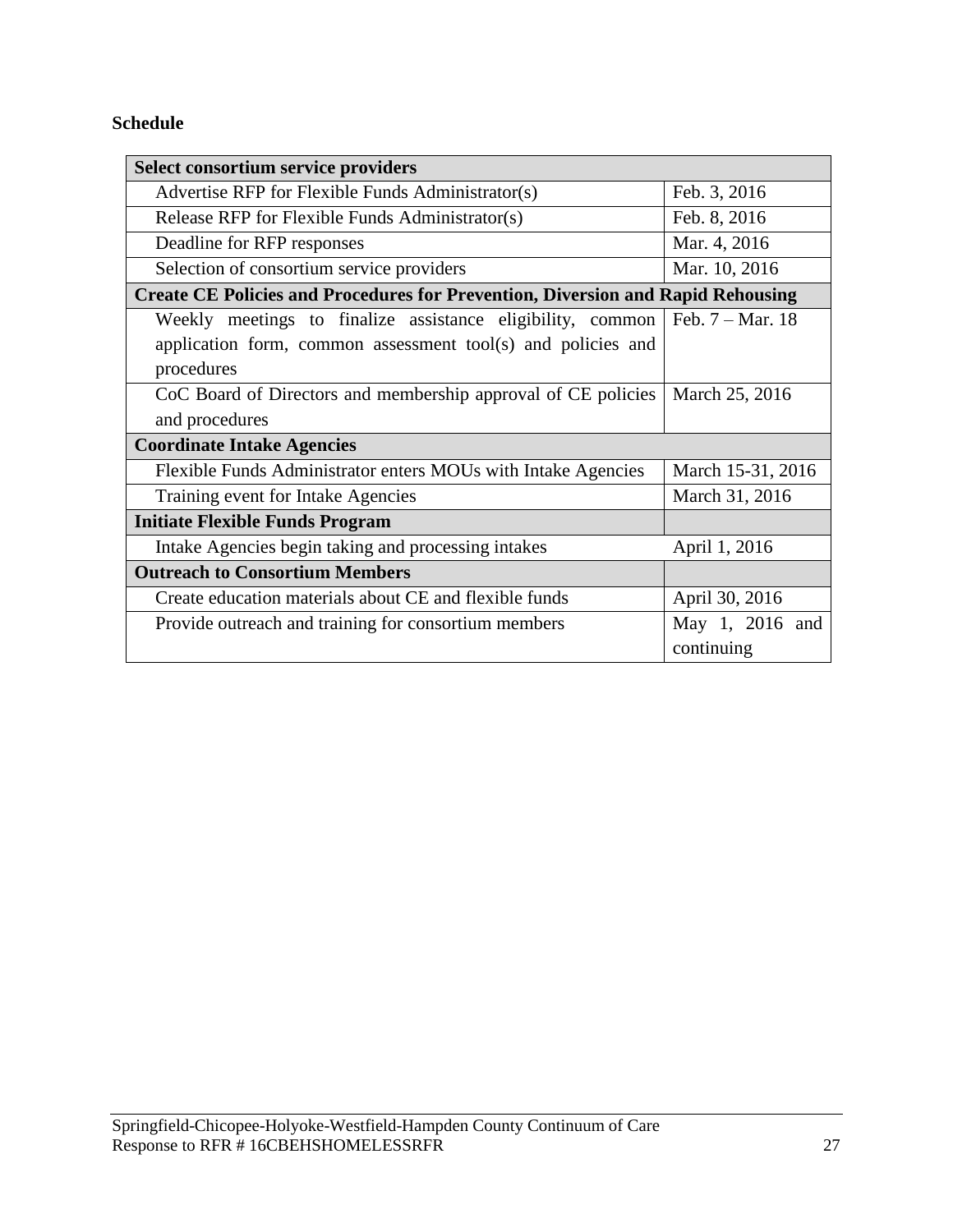# **Schedule**

| <b>Select consortium service providers</b>                                                                                               |                               |  |  |
|------------------------------------------------------------------------------------------------------------------------------------------|-------------------------------|--|--|
| Advertise RFP for Flexible Funds Administrator(s)                                                                                        | Feb. 3, 2016                  |  |  |
| Release RFP for Flexible Funds Administrator(s)                                                                                          | Feb. 8, 2016                  |  |  |
| Deadline for RFP responses                                                                                                               | Mar. 4, 2016                  |  |  |
| Selection of consortium service providers                                                                                                | Mar. 10, 2016                 |  |  |
| <b>Create CE Policies and Procedures for Prevention, Diversion and Rapid Rehousing</b>                                                   |                               |  |  |
| Weekly meetings to finalize assistance eligibility, common<br>application form, common assessment tool(s) and policies and<br>procedures | Feb. 7 - Mar. 18              |  |  |
| CoC Board of Directors and membership approval of CE policies<br>and procedures                                                          | March 25, 2016                |  |  |
| <b>Coordinate Intake Agencies</b>                                                                                                        |                               |  |  |
| Flexible Funds Administrator enters MOUs with Intake Agencies                                                                            | March 15-31, 2016             |  |  |
| Training event for Intake Agencies                                                                                                       | March 31, 2016                |  |  |
| <b>Initiate Flexible Funds Program</b>                                                                                                   |                               |  |  |
| Intake Agencies begin taking and processing intakes                                                                                      | April 1, 2016                 |  |  |
| <b>Outreach to Consortium Members</b>                                                                                                    |                               |  |  |
| Create education materials about CE and flexible funds                                                                                   | April 30, 2016                |  |  |
| Provide outreach and training for consortium members                                                                                     | May 1, 2016 and<br>continuing |  |  |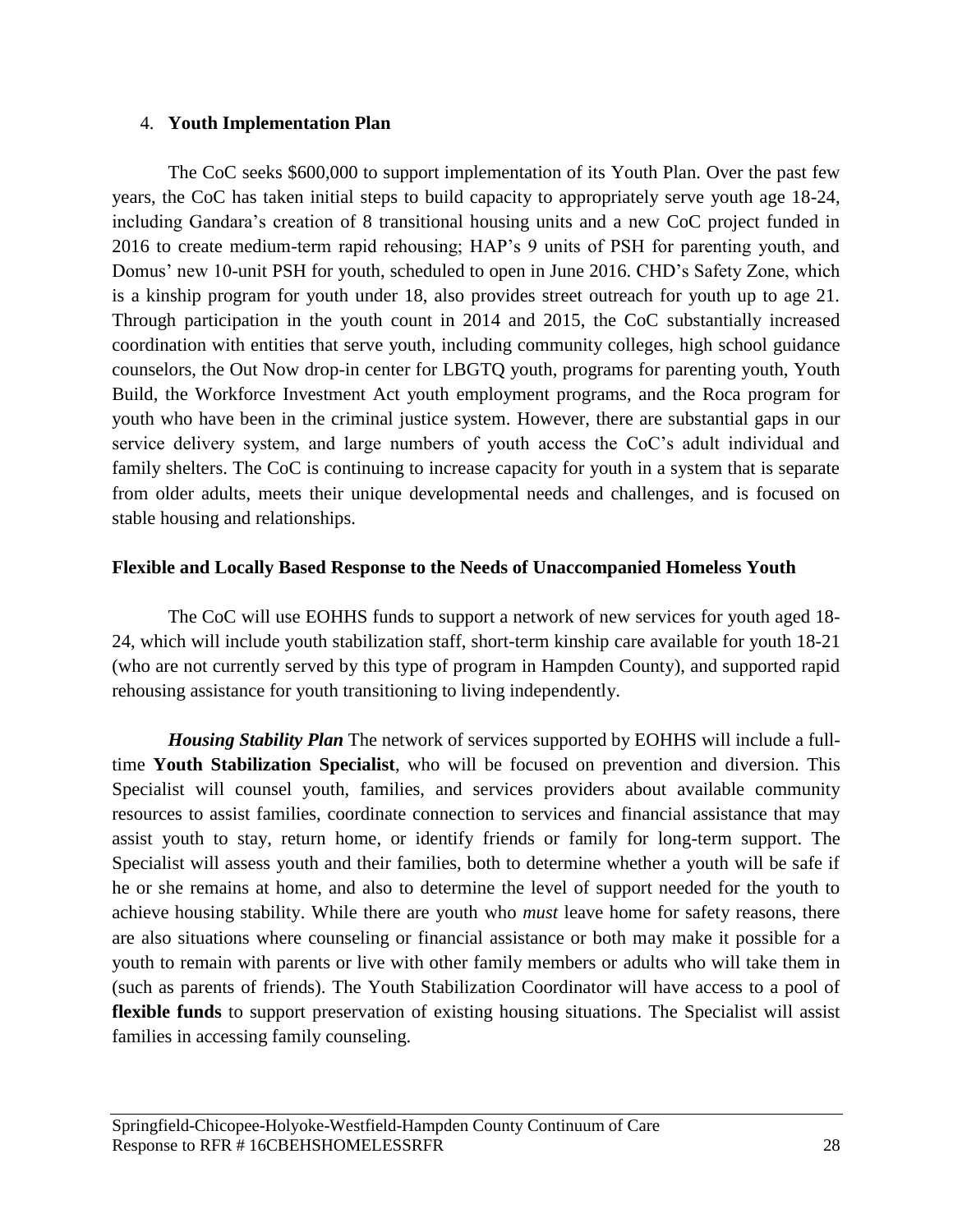### <span id="page-28-0"></span>4. **Youth Implementation Plan**

The CoC seeks \$600,000 to support implementation of its Youth Plan. Over the past few years, the CoC has taken initial steps to build capacity to appropriately serve youth age 18-24, including Gandara's creation of 8 transitional housing units and a new CoC project funded in 2016 to create medium-term rapid rehousing; HAP's 9 units of PSH for parenting youth, and Domus' new 10-unit PSH for youth, scheduled to open in June 2016. CHD's Safety Zone, which is a kinship program for youth under 18, also provides street outreach for youth up to age 21. Through participation in the youth count in 2014 and 2015, the CoC substantially increased coordination with entities that serve youth, including community colleges, high school guidance counselors, the Out Now drop-in center for LBGTQ youth, programs for parenting youth, Youth Build, the Workforce Investment Act youth employment programs, and the Roca program for youth who have been in the criminal justice system. However, there are substantial gaps in our service delivery system, and large numbers of youth access the CoC's adult individual and family shelters. The CoC is continuing to increase capacity for youth in a system that is separate from older adults, meets their unique developmental needs and challenges, and is focused on stable housing and relationships.

### **Flexible and Locally Based Response to the Needs of Unaccompanied Homeless Youth**

The CoC will use EOHHS funds to support a network of new services for youth aged 18- 24, which will include youth stabilization staff, short-term kinship care available for youth 18-21 (who are not currently served by this type of program in Hampden County), and supported rapid rehousing assistance for youth transitioning to living independently.

*Housing Stability Plan* The network of services supported by EOHHS will include a fulltime **Youth Stabilization Specialist**, who will be focused on prevention and diversion. This Specialist will counsel youth, families, and services providers about available community resources to assist families, coordinate connection to services and financial assistance that may assist youth to stay, return home, or identify friends or family for long-term support. The Specialist will assess youth and their families, both to determine whether a youth will be safe if he or she remains at home, and also to determine the level of support needed for the youth to achieve housing stability. While there are youth who *must* leave home for safety reasons, there are also situations where counseling or financial assistance or both may make it possible for a youth to remain with parents or live with other family members or adults who will take them in (such as parents of friends). The Youth Stabilization Coordinator will have access to a pool of **flexible funds** to support preservation of existing housing situations. The Specialist will assist families in accessing family counseling.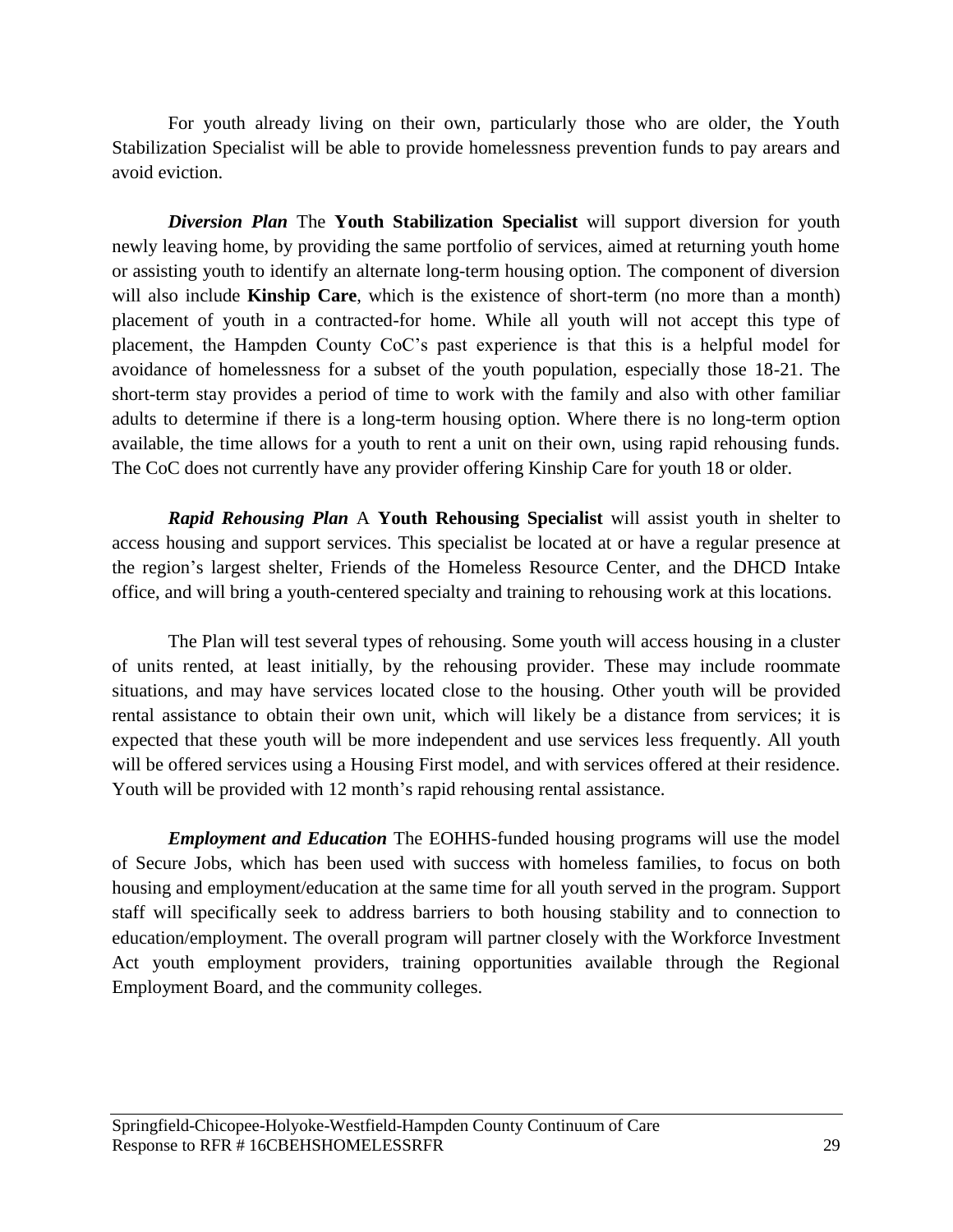For youth already living on their own, particularly those who are older, the Youth Stabilization Specialist will be able to provide homelessness prevention funds to pay arears and avoid eviction.

*Diversion Plan* The **Youth Stabilization Specialist** will support diversion for youth newly leaving home, by providing the same portfolio of services, aimed at returning youth home or assisting youth to identify an alternate long-term housing option. The component of diversion will also include **Kinship Care**, which is the existence of short-term (no more than a month) placement of youth in a contracted-for home. While all youth will not accept this type of placement, the Hampden County CoC's past experience is that this is a helpful model for avoidance of homelessness for a subset of the youth population, especially those 18-21. The short-term stay provides a period of time to work with the family and also with other familiar adults to determine if there is a long-term housing option. Where there is no long-term option available, the time allows for a youth to rent a unit on their own, using rapid rehousing funds. The CoC does not currently have any provider offering Kinship Care for youth 18 or older.

*Rapid Rehousing Plan* A **Youth Rehousing Specialist** will assist youth in shelter to access housing and support services. This specialist be located at or have a regular presence at the region's largest shelter, Friends of the Homeless Resource Center, and the DHCD Intake office, and will bring a youth-centered specialty and training to rehousing work at this locations.

The Plan will test several types of rehousing. Some youth will access housing in a cluster of units rented, at least initially, by the rehousing provider. These may include roommate situations, and may have services located close to the housing. Other youth will be provided rental assistance to obtain their own unit, which will likely be a distance from services; it is expected that these youth will be more independent and use services less frequently. All youth will be offered services using a Housing First model, and with services offered at their residence. Youth will be provided with 12 month's rapid rehousing rental assistance.

*Employment and Education* The EOHHS-funded housing programs will use the model of Secure Jobs, which has been used with success with homeless families, to focus on both housing and employment/education at the same time for all youth served in the program. Support staff will specifically seek to address barriers to both housing stability and to connection to education/employment. The overall program will partner closely with the Workforce Investment Act youth employment providers, training opportunities available through the Regional Employment Board, and the community colleges.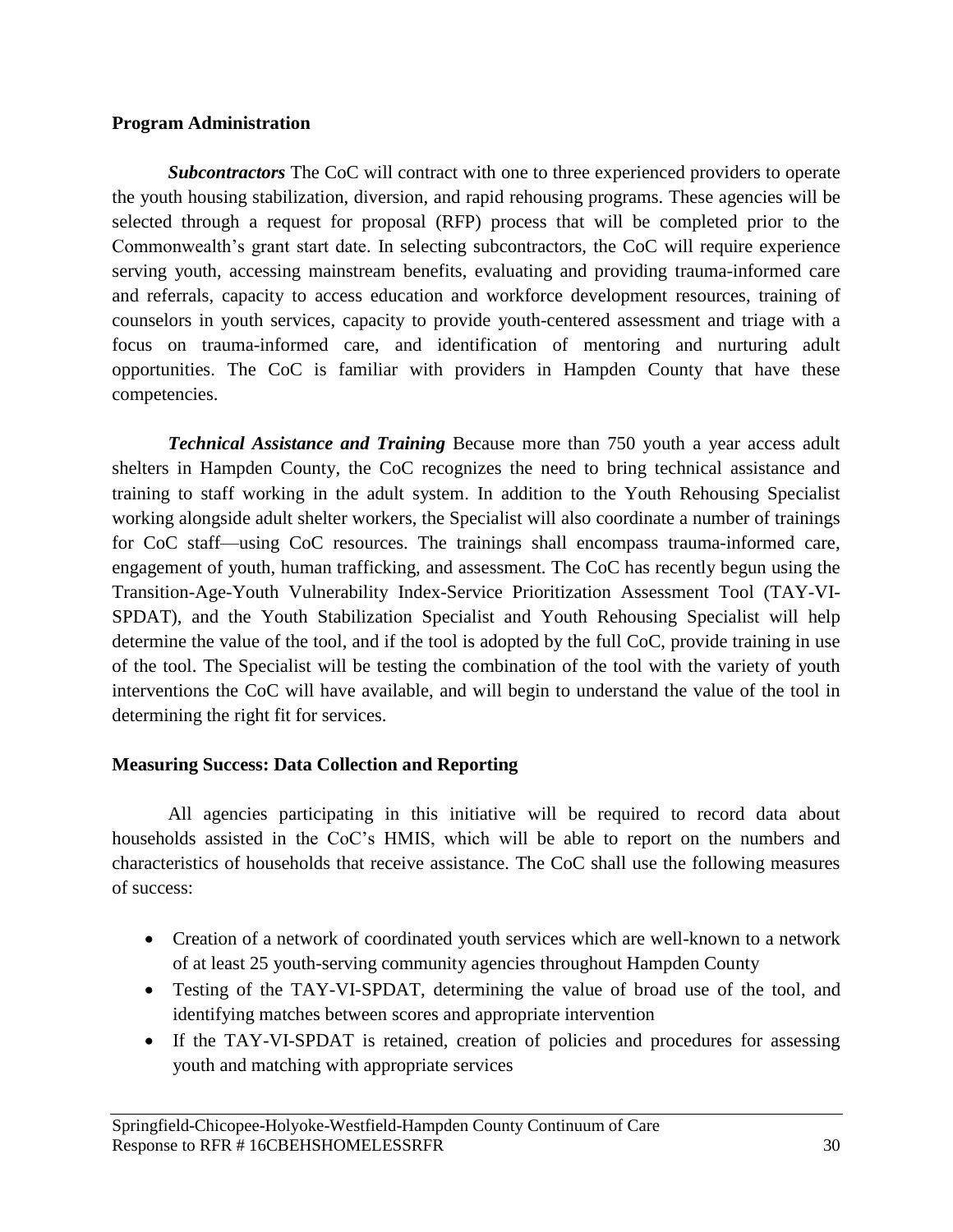### **Program Administration**

*Subcontractors* The CoC will contract with one to three experienced providers to operate the youth housing stabilization, diversion, and rapid rehousing programs. These agencies will be selected through a request for proposal (RFP) process that will be completed prior to the Commonwealth's grant start date. In selecting subcontractors, the CoC will require experience serving youth, accessing mainstream benefits, evaluating and providing trauma-informed care and referrals, capacity to access education and workforce development resources, training of counselors in youth services, capacity to provide youth-centered assessment and triage with a focus on trauma-informed care, and identification of mentoring and nurturing adult opportunities. The CoC is familiar with providers in Hampden County that have these competencies.

*Technical Assistance and Training* Because more than 750 youth a year access adult shelters in Hampden County, the CoC recognizes the need to bring technical assistance and training to staff working in the adult system. In addition to the Youth Rehousing Specialist working alongside adult shelter workers, the Specialist will also coordinate a number of trainings for CoC staff—using CoC resources. The trainings shall encompass trauma-informed care, engagement of youth, human trafficking, and assessment. The CoC has recently begun using the Transition-Age-Youth Vulnerability Index-Service Prioritization Assessment Tool (TAY-VI-SPDAT), and the Youth Stabilization Specialist and Youth Rehousing Specialist will help determine the value of the tool, and if the tool is adopted by the full CoC, provide training in use of the tool. The Specialist will be testing the combination of the tool with the variety of youth interventions the CoC will have available, and will begin to understand the value of the tool in determining the right fit for services.

# **Measuring Success: Data Collection and Reporting**

All agencies participating in this initiative will be required to record data about households assisted in the CoC's HMIS, which will be able to report on the numbers and characteristics of households that receive assistance. The CoC shall use the following measures of success:

- Creation of a network of coordinated youth services which are well-known to a network of at least 25 youth-serving community agencies throughout Hampden County
- Testing of the TAY-VI-SPDAT, determining the value of broad use of the tool, and identifying matches between scores and appropriate intervention
- If the TAY-VI-SPDAT is retained, creation of policies and procedures for assessing youth and matching with appropriate services